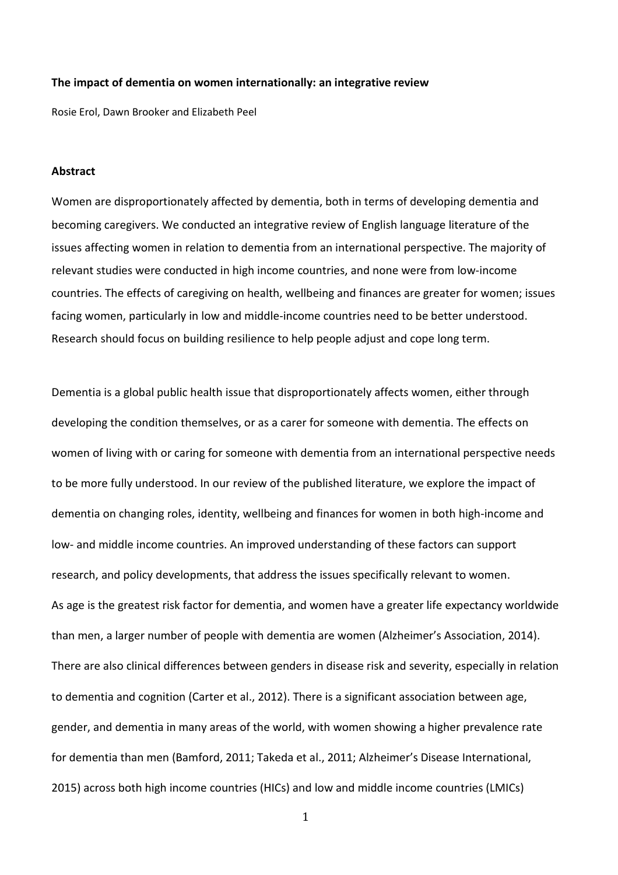#### **The impact of dementia on women internationally: an integrative review**

Rosie Erol, Dawn Brooker and Elizabeth Peel

### **Abstract**

Women are disproportionately affected by dementia, both in terms of developing dementia and becoming caregivers. We conducted an integrative review of English language literature of the issues affecting women in relation to dementia from an international perspective. The majority of relevant studies were conducted in high income countries, and none were from low-income countries. The effects of caregiving on health, wellbeing and finances are greater for women; issues facing women, particularly in low and middle-income countries need to be better understood. Research should focus on building resilience to help people adjust and cope long term.

Dementia is a global public health issue that disproportionately affects women, either through developing the condition themselves, or as a carer for someone with dementia. The effects on women of living with or caring for someone with dementia from an international perspective needs to be more fully understood. In our review of the published literature, we explore the impact of dementia on changing roles, identity, wellbeing and finances for women in both high-income and low- and middle income countries. An improved understanding of these factors can support research, and policy developments, that address the issues specifically relevant to women. As age is the greatest risk factor for dementia, and women have a greater life expectancy worldwide than men, a larger number of people with dementia are women (Alzheimer's Association, 2014). There are also clinical differences between genders in disease risk and severity, especially in relation to dementia and cognition (Carter et al., 2012). There is a significant association between age, gender, and dementia in many areas of the world, with women showing a higher prevalence rate for dementia than men (Bamford, 2011; Takeda et al., 2011; Alzheimer's Disease International, 2015) across both high income countries (HICs) and low and middle income countries (LMICs)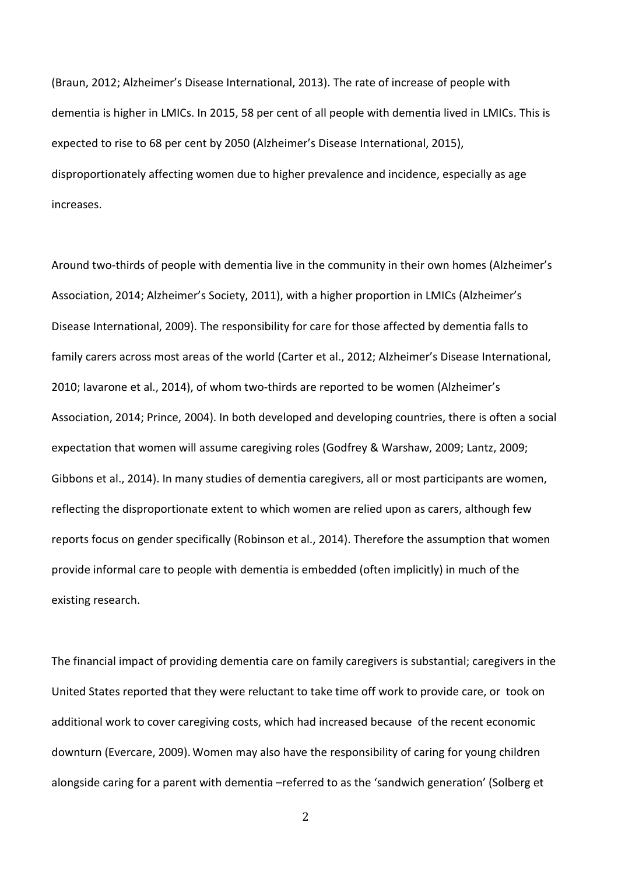(Braun, 2012; Alzheimer's Disease International, 2013). The rate of increase of people with dementia is higher in LMICs. In 2015, 58 per cent of all people with dementia lived in LMICs. This is expected to rise to 68 per cent by 2050 (Alzheimer's Disease International, 2015), disproportionately affecting women due to higher prevalence and incidence, especially as age increases.

Around two-thirds of people with dementia live in the community in their own homes (Alzheimer's Association, 2014; Alzheimer's Society, 2011), with a higher proportion in LMICs (Alzheimer's Disease International, 2009). The responsibility for care for those affected by dementia falls to family carers across most areas of the world (Carter et al., 2012; Alzheimer's Disease International, 2010; Iavarone et al., 2014), of whom two-thirds are reported to be women (Alzheimer's Association, 2014; Prince, 2004). In both developed and developing countries, there is often a social expectation that women will assume caregiving roles (Godfrey & Warshaw, 2009; Lantz, 2009; Gibbons et al., 2014). In many studies of dementia caregivers, all or most participants are women, reflecting the disproportionate extent to which women are relied upon as carers, although few reports focus on gender specifically (Robinson et al., 2014). Therefore the assumption that women provide informal care to people with dementia is embedded (often implicitly) in much of the existing research.

The financial impact of providing dementia care on family caregivers is substantial; caregivers in the United States reported that they were reluctant to take time off work to provide care, or took on additional work to cover caregiving costs, which had increased because of the recent economic downturn (Evercare, 2009).Women may also have the responsibility of caring for young children alongside caring for a parent with dementia –referred to as the 'sandwich generation' (Solberg et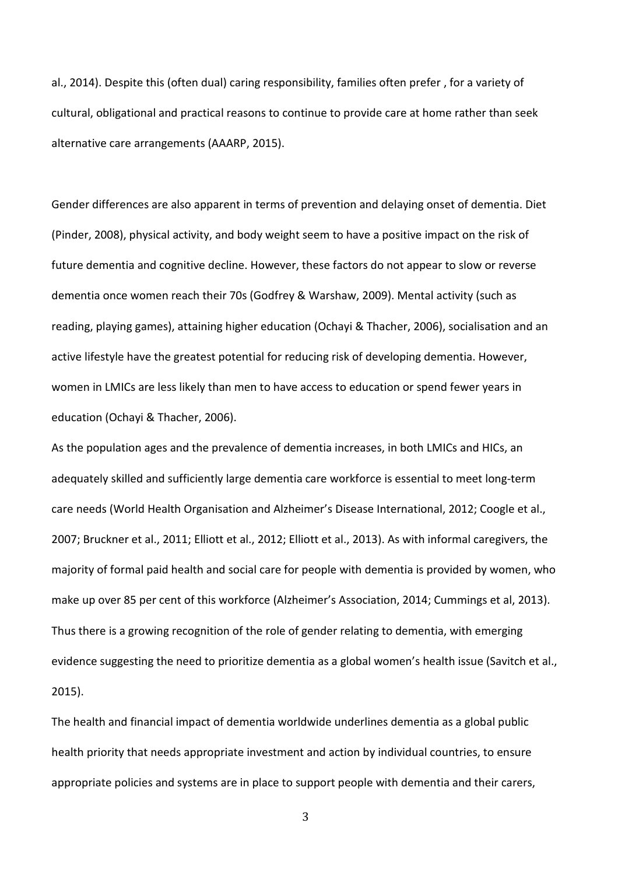al., 2014). Despite this (often dual) caring responsibility, families often prefer , for a variety of cultural, obligational and practical reasons to continue to provide care at home rather than seek alternative care arrangements (AAARP, 2015).

Gender differences are also apparent in terms of prevention and delaying onset of dementia. Diet (Pinder, 2008), physical activity, and body weight seem to have a positive impact on the risk of future dementia and cognitive decline. However, these factors do not appear to slow or reverse dementia once women reach their 70s (Godfrey & Warshaw, 2009). Mental activity (such as reading, playing games), attaining higher education (Ochayi & Thacher, 2006), socialisation and an active lifestyle have the greatest potential for reducing risk of developing dementia. However, women in LMICs are less likely than men to have access to education or spend fewer years in education (Ochayi & Thacher, 2006).

As the population ages and the prevalence of dementia increases, in both LMICs and HICs, an adequately skilled and sufficiently large dementia care workforce is essential to meet long-term care needs (World Health Organisation and Alzheimer's Disease International, 2012; Coogle et al., 2007; Bruckner et al., 2011; Elliott et al., 2012; Elliott et al., 2013). As with informal caregivers, the majority of formal paid health and social care for people with dementia is provided by women, who make up over 85 per cent of this workforce (Alzheimer's Association, 2014; Cummings et al, 2013). Thus there is a growing recognition of the role of gender relating to dementia, with emerging evidence suggesting the need to prioritize dementia as a global women's health issue (Savitch et al., 2015).

The health and financial impact of dementia worldwide underlines dementia as a global public health priority that needs appropriate investment and action by individual countries, to ensure appropriate policies and systems are in place to support people with dementia and their carers,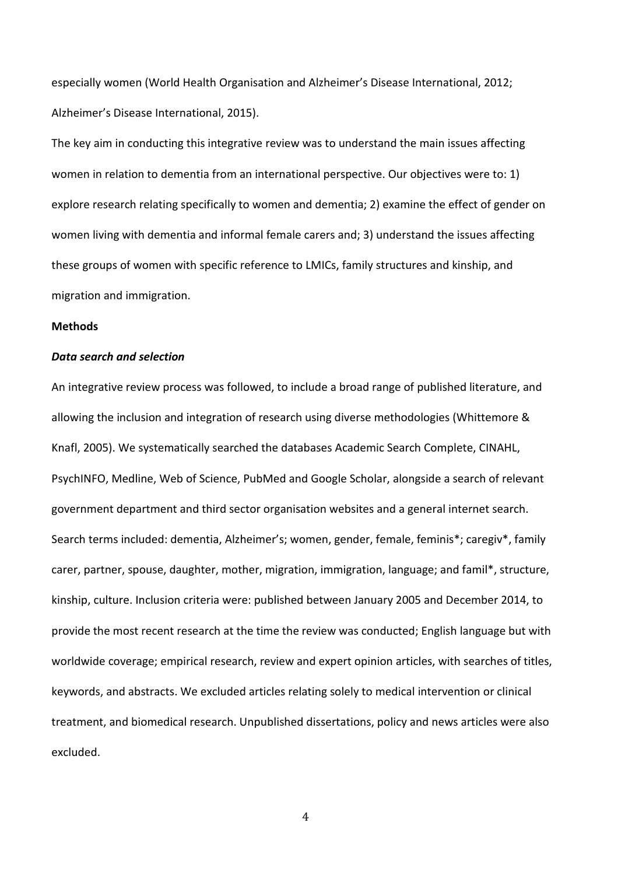especially women (World Health Organisation and Alzheimer's Disease International, 2012; Alzheimer's Disease International, 2015).

The key aim in conducting this integrative review was to understand the main issues affecting women in relation to dementia from an international perspective. Our objectives were to: 1) explore research relating specifically to women and dementia; 2) examine the effect of gender on women living with dementia and informal female carers and; 3) understand the issues affecting these groups of women with specific reference to LMICs, family structures and kinship, and migration and immigration.

#### **Methods**

### *Data search and selection*

An integrative review process was followed, to include a broad range of published literature, and allowing the inclusion and integration of research using diverse methodologies (Whittemore & Knafl, 2005). We systematically searched the databases Academic Search Complete, CINAHL, PsychINFO, Medline, Web of Science, PubMed and Google Scholar, alongside a search of relevant government department and third sector organisation websites and a general internet search. Search terms included: dementia, Alzheimer's; women, gender, female, feminis\*; caregiv\*, family carer, partner, spouse, daughter, mother, migration, immigration, language; and famil\*, structure, kinship, culture. Inclusion criteria were: published between January 2005 and December 2014, to provide the most recent research at the time the review was conducted; English language but with worldwide coverage; empirical research, review and expert opinion articles, with searches of titles, keywords, and abstracts. We excluded articles relating solely to medical intervention or clinical treatment, and biomedical research. Unpublished dissertations, policy and news articles were also excluded.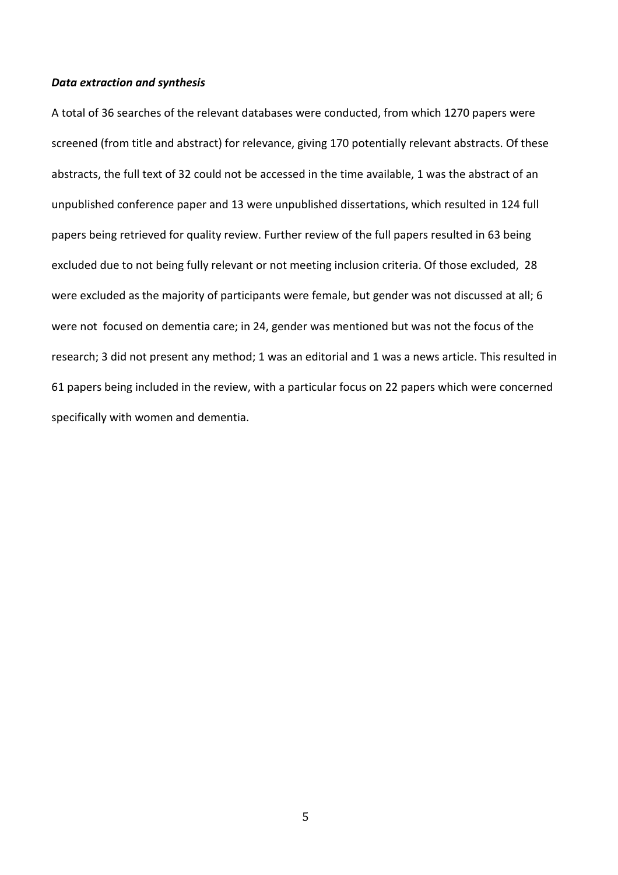### *Data extraction and synthesis*

A total of 36 searches of the relevant databases were conducted, from which 1270 papers were screened (from title and abstract) for relevance, giving 170 potentially relevant abstracts. Of these abstracts, the full text of 32 could not be accessed in the time available, 1 was the abstract of an unpublished conference paper and 13 were unpublished dissertations, which resulted in 124 full papers being retrieved for quality review. Further review of the full papers resulted in 63 being excluded due to not being fully relevant or not meeting inclusion criteria. Of those excluded, 28 were excluded as the majority of participants were female, but gender was not discussed at all; 6 were not focused on dementia care; in 24, gender was mentioned but was not the focus of the research; 3 did not present any method; 1 was an editorial and 1 was a news article. This resulted in 61 papers being included in the review, with a particular focus on 22 papers which were concerned specifically with women and dementia.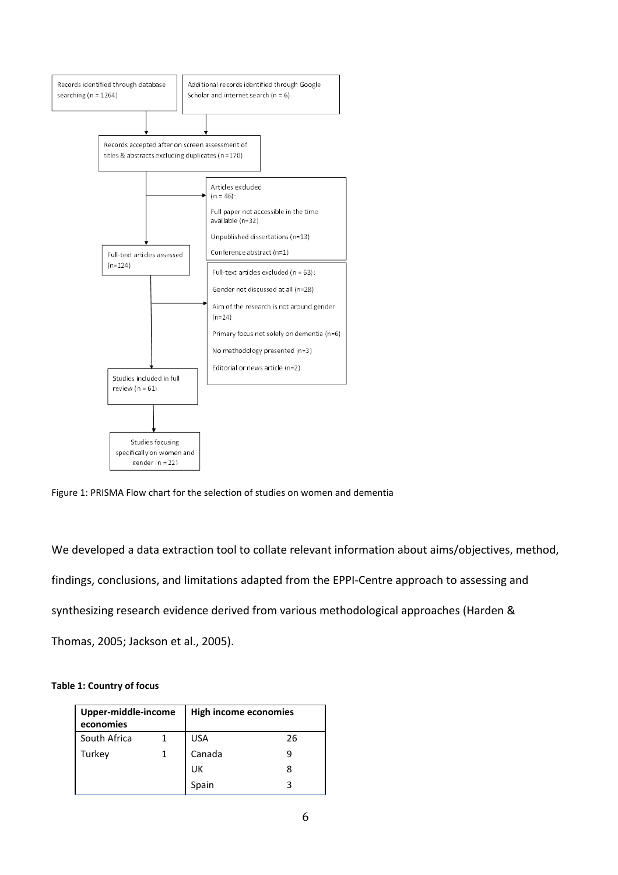

Figure 1: PRISMA Flow chart for the selection of studies on women and dementia

We developed a data extraction tool to collate relevant information about aims/objectives, method, findings, conclusions, and limitations adapted from the EPPI-Centre approach to assessing and synthesizing research evidence derived from various methodological approaches (Harden & Thomas, 2005; Jackson et al., 2005).

#### **Table 1: Country of focus**

| Upper-middle-income<br>economies |  | <b>High income economies</b> |    |
|----------------------------------|--|------------------------------|----|
| South Africa                     |  | <b>USA</b>                   | 26 |
| Turkey                           |  | Canada                       |    |
|                                  |  | UK                           | 8  |
|                                  |  | Spain                        |    |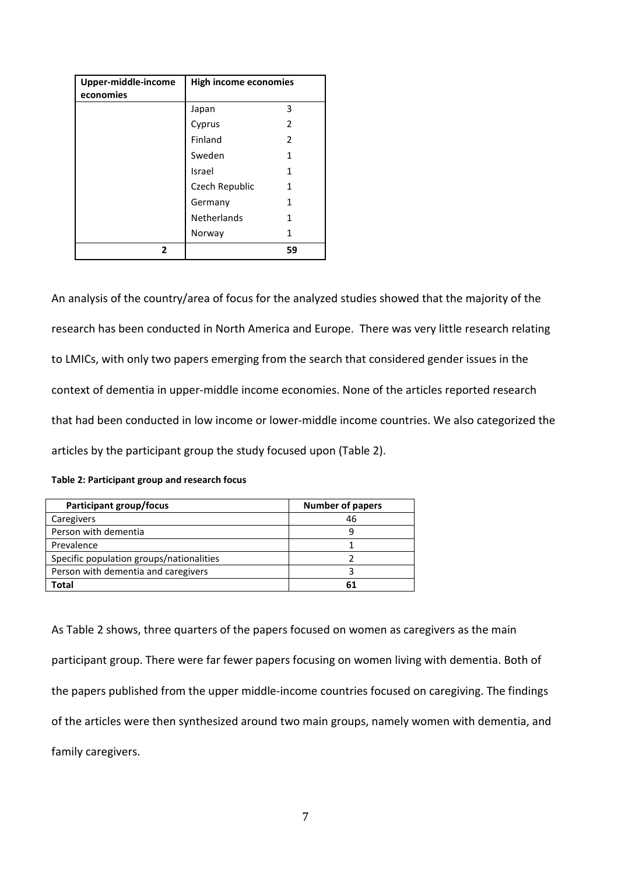| Upper-middle-income<br>economies | <b>High income economies</b> |    |
|----------------------------------|------------------------------|----|
|                                  | Japan                        | 3  |
|                                  | Cyprus                       | 2  |
|                                  | Finland                      | 2  |
|                                  | Sweden                       | 1  |
|                                  | Israel                       | 1  |
|                                  | Czech Republic               | 1  |
|                                  | Germany                      | 1  |
|                                  | <b>Netherlands</b>           | 1  |
|                                  | Norway                       | 1  |
| 2                                |                              | 59 |

An analysis of the country/area of focus for the analyzed studies showed that the majority of the research has been conducted in North America and Europe. There was very little research relating to LMICs, with only two papers emerging from the search that considered gender issues in the context of dementia in upper-middle income economies. None of the articles reported research that had been conducted in low income or lower-middle income countries. We also categorized the articles by the participant group the study focused upon (Table 2).

|  |  |  | Table 2: Participant group and research focus |
|--|--|--|-----------------------------------------------|
|--|--|--|-----------------------------------------------|

| Participant group/focus                  | <b>Number of papers</b> |
|------------------------------------------|-------------------------|
| Caregivers                               | 46                      |
| Person with dementia                     |                         |
| Prevalence                               |                         |
| Specific population groups/nationalities |                         |
| Person with dementia and caregivers      |                         |
| Total                                    |                         |

As Table 2 shows, three quarters of the papers focused on women as caregivers as the main participant group. There were far fewer papers focusing on women living with dementia. Both of the papers published from the upper middle-income countries focused on caregiving. The findings of the articles were then synthesized around two main groups, namely women with dementia, and family caregivers.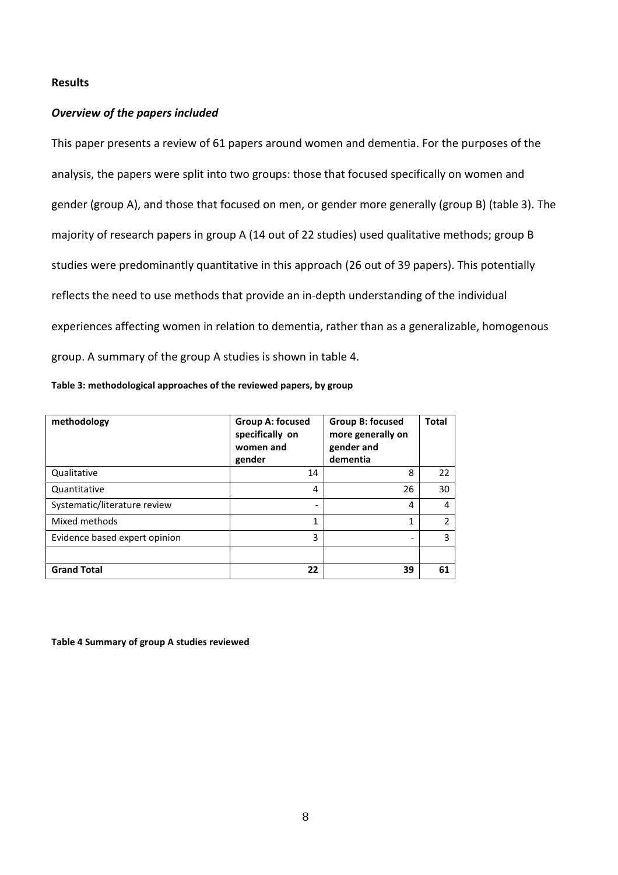### **Results**

## *Overview of the papers included*

This paper presents a review of 61 papers around women and dementia. For the purposes of the analysis, the papers were split into two groups: those that focused specifically on women and gender (group A), and those that focused on men, or gender more generally (group B) (table 3). The majority of research papers in group A (14 out of 22 studies) used qualitative methods; group B studies were predominantly quantitative in this approach (26 out of 39 papers). This potentially reflects the need to use methods that provide an in-depth understanding of the individual experiences affecting women in relation to dementia, rather than as a generalizable, homogenous group. A summary of the group A studies is shown in table 4.

|  | Table 3: methodological approaches of the reviewed papers, by group |  |
|--|---------------------------------------------------------------------|--|
|--|---------------------------------------------------------------------|--|

| methodology                   | <b>Group A: focused</b><br>specifically on<br>women and<br>gender | <b>Group B: focused</b><br>more generally on<br>gender and<br>dementia | <b>Total</b> |
|-------------------------------|-------------------------------------------------------------------|------------------------------------------------------------------------|--------------|
| Qualitative                   | 14                                                                | 8                                                                      | 22           |
| Quantitative                  | 4                                                                 | 26                                                                     | 30           |
| Systematic/literature review  | $\overline{\phantom{0}}$                                          | 4                                                                      | 4            |
| Mixed methods                 | 1                                                                 | 1                                                                      | 2            |
| Evidence based expert opinion | 3                                                                 |                                                                        | 3            |
|                               |                                                                   |                                                                        |              |
| <b>Grand Total</b>            | 22                                                                | 39                                                                     | 61           |

**Table 4 Summary of group A studies reviewed**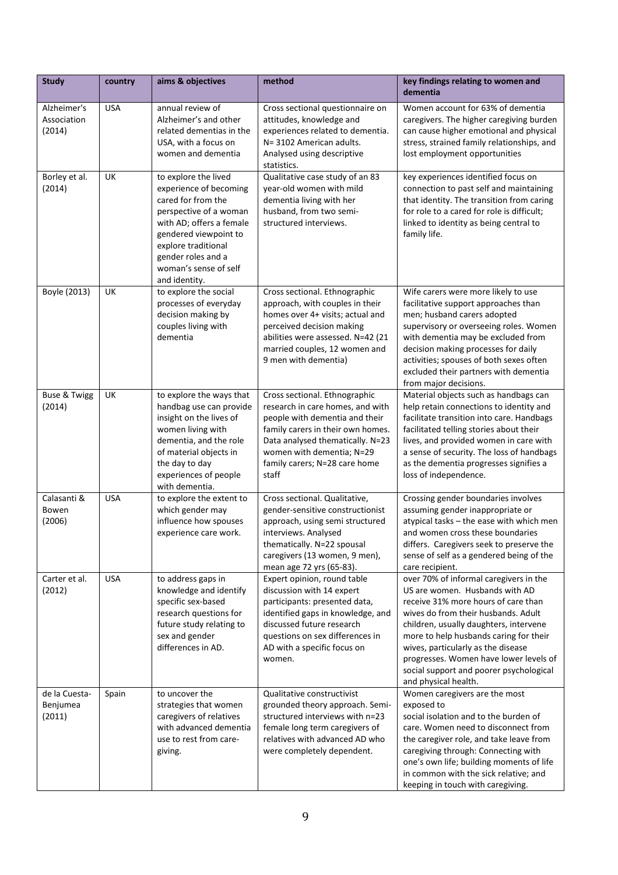| <b>Study</b>                         | country    | aims & objectives                                                                                                                                                                                                                          | method                                                                                                                                                                                                                                              | key findings relating to women and<br>dementia                                                                                                                                                                                                                                                                                                                                                |
|--------------------------------------|------------|--------------------------------------------------------------------------------------------------------------------------------------------------------------------------------------------------------------------------------------------|-----------------------------------------------------------------------------------------------------------------------------------------------------------------------------------------------------------------------------------------------------|-----------------------------------------------------------------------------------------------------------------------------------------------------------------------------------------------------------------------------------------------------------------------------------------------------------------------------------------------------------------------------------------------|
| Alzheimer's<br>Association<br>(2014) | <b>USA</b> | annual review of<br>Alzheimer's and other<br>related dementias in the<br>USA, with a focus on<br>women and dementia                                                                                                                        | Cross sectional questionnaire on<br>attitudes, knowledge and<br>experiences related to dementia.<br>N= 3102 American adults.<br>Analysed using descriptive<br>statistics.                                                                           | Women account for 63% of dementia<br>caregivers. The higher caregiving burden<br>can cause higher emotional and physical<br>stress, strained family relationships, and<br>lost employment opportunities                                                                                                                                                                                       |
| Borley et al.<br>(2014)              | UK         | to explore the lived<br>experience of becoming<br>cared for from the<br>perspective of a woman<br>with AD; offers a female<br>gendered viewpoint to<br>explore traditional<br>gender roles and a<br>woman's sense of self<br>and identity. | Qualitative case study of an 83<br>year-old women with mild<br>dementia living with her<br>husband, from two semi-<br>structured interviews.                                                                                                        | key experiences identified focus on<br>connection to past self and maintaining<br>that identity. The transition from caring<br>for role to a cared for role is difficult;<br>linked to identity as being central to<br>family life.                                                                                                                                                           |
| Boyle (2013)                         | UK         | to explore the social<br>processes of everyday<br>decision making by<br>couples living with<br>dementia                                                                                                                                    | Cross sectional. Ethnographic<br>approach, with couples in their<br>homes over 4+ visits; actual and<br>perceived decision making<br>abilities were assessed. N=42 (21<br>married couples, 12 women and<br>9 men with dementia)                     | Wife carers were more likely to use<br>facilitative support approaches than<br>men; husband carers adopted<br>supervisory or overseeing roles. Women<br>with dementia may be excluded from<br>decision making processes for daily<br>activities; spouses of both sexes often<br>excluded their partners with dementia<br>from major decisions.                                                |
| <b>Buse &amp; Twigg</b><br>(2014)    | UK         | to explore the ways that<br>handbag use can provide<br>insight on the lives of<br>women living with<br>dementia, and the role<br>of material objects in<br>the day to day<br>experiences of people<br>with dementia.                       | Cross sectional. Ethnographic<br>research in care homes, and with<br>people with dementia and their<br>family carers in their own homes.<br>Data analysed thematically. N=23<br>women with dementia; N=29<br>family carers; N=28 care home<br>staff | Material objects such as handbags can<br>help retain connections to identity and<br>facilitate transition into care. Handbags<br>facilitated telling stories about their<br>lives, and provided women in care with<br>a sense of security. The loss of handbags<br>as the dementia progresses signifies a<br>loss of independence.                                                            |
| Calasanti &<br>Bowen<br>(2006)       | <b>USA</b> | to explore the extent to<br>which gender may<br>influence how spouses<br>experience care work.                                                                                                                                             | Cross sectional. Qualitative,<br>gender-sensitive constructionist<br>approach, using semi structured<br>interviews. Analysed<br>thematically. N=22 spousal<br>caregivers (13 women, 9 men),<br>mean age 72 yrs (65-83).                             | Crossing gender boundaries involves<br>assuming gender inappropriate or<br>atypical tasks - the ease with which men<br>and women cross these boundaries<br>differs. Caregivers seek to preserve the<br>sense of self as a gendered being of the<br>care recipient.                                                                                                                            |
| Carter et al.<br>(2012)              | <b>USA</b> | to address gaps in<br>knowledge and identify<br>specific sex-based<br>research questions for<br>future study relating to<br>sex and gender<br>differences in AD.                                                                           | Expert opinion, round table<br>discussion with 14 expert<br>participants: presented data,<br>identified gaps in knowledge, and<br>discussed future research<br>questions on sex differences in<br>AD with a specific focus on<br>women.             | over 70% of informal caregivers in the<br>US are women. Husbands with AD<br>receive 31% more hours of care than<br>wives do from their husbands. Adult<br>children, usually daughters, intervene<br>more to help husbands caring for their<br>wives, particularly as the disease<br>progresses. Women have lower levels of<br>social support and poorer psychological<br>and physical health. |
| de la Cuesta-<br>Benjumea<br>(2011)  | Spain      | to uncover the<br>strategies that women<br>caregivers of relatives<br>with advanced dementia<br>use to rest from care-<br>giving.                                                                                                          | Qualitative constructivist<br>grounded theory approach. Semi-<br>structured interviews with n=23<br>female long term caregivers of<br>relatives with advanced AD who<br>were completely dependent.                                                  | Women caregivers are the most<br>exposed to<br>social isolation and to the burden of<br>care. Women need to disconnect from<br>the caregiver role, and take leave from<br>caregiving through: Connecting with<br>one's own life; building moments of life<br>in common with the sick relative; and<br>keeping in touch with caregiving.                                                       |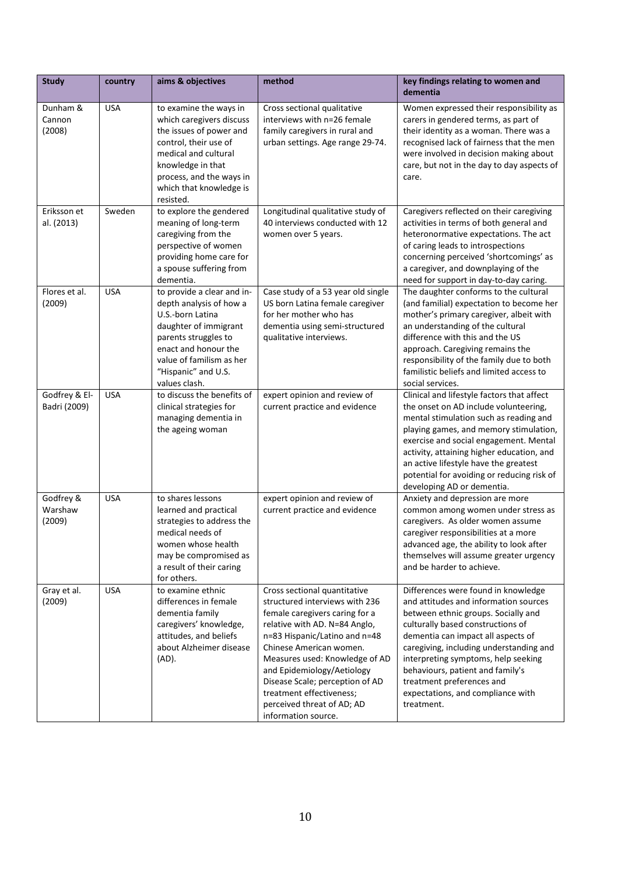| <b>Study</b>                   | country    | aims & objectives                                                                                                                                                                                                       | method                                                                                                                                                                                                                                                                                                                                                                            | key findings relating to women and<br>dementia                                                                                                                                                                                                                                                                                                                                                       |
|--------------------------------|------------|-------------------------------------------------------------------------------------------------------------------------------------------------------------------------------------------------------------------------|-----------------------------------------------------------------------------------------------------------------------------------------------------------------------------------------------------------------------------------------------------------------------------------------------------------------------------------------------------------------------------------|------------------------------------------------------------------------------------------------------------------------------------------------------------------------------------------------------------------------------------------------------------------------------------------------------------------------------------------------------------------------------------------------------|
| Dunham &<br>Cannon<br>(2008)   | <b>USA</b> | to examine the ways in<br>which caregivers discuss<br>the issues of power and<br>control, their use of<br>medical and cultural<br>knowledge in that<br>process, and the ways in<br>which that knowledge is<br>resisted. | Cross sectional qualitative<br>interviews with n=26 female<br>family caregivers in rural and<br>urban settings. Age range 29-74.                                                                                                                                                                                                                                                  | Women expressed their responsibility as<br>carers in gendered terms, as part of<br>their identity as a woman. There was a<br>recognised lack of fairness that the men<br>were involved in decision making about<br>care, but not in the day to day aspects of<br>care.                                                                                                                               |
| Eriksson et<br>al. (2013)      | Sweden     | to explore the gendered<br>meaning of long-term<br>caregiving from the<br>perspective of women<br>providing home care for<br>a spouse suffering from<br>dementia.                                                       | Longitudinal qualitative study of<br>40 interviews conducted with 12<br>women over 5 years.                                                                                                                                                                                                                                                                                       | Caregivers reflected on their caregiving<br>activities in terms of both general and<br>heteronormative expectations. The act<br>of caring leads to introspections<br>concerning perceived 'shortcomings' as<br>a caregiver, and downplaying of the<br>need for support in day-to-day caring.                                                                                                         |
| Flores et al.<br>(2009)        | <b>USA</b> | to provide a clear and in-<br>depth analysis of how a<br>U.S.-born Latina<br>daughter of immigrant<br>parents struggles to<br>enact and honour the<br>value of familism as her<br>"Hispanic" and U.S.<br>values clash.  | Case study of a 53 year old single<br>US born Latina female caregiver<br>for her mother who has<br>dementia using semi-structured<br>qualitative interviews.                                                                                                                                                                                                                      | The daughter conforms to the cultural<br>(and familial) expectation to become her<br>mother's primary caregiver, albeit with<br>an understanding of the cultural<br>difference with this and the US<br>approach. Caregiving remains the<br>responsibility of the family due to both<br>familistic beliefs and limited access to<br>social services.                                                  |
| Godfrey & El-<br>Badri (2009)  | <b>USA</b> | to discuss the benefits of<br>clinical strategies for<br>managing dementia in<br>the ageing woman                                                                                                                       | expert opinion and review of<br>current practice and evidence                                                                                                                                                                                                                                                                                                                     | Clinical and lifestyle factors that affect<br>the onset on AD include volunteering,<br>mental stimulation such as reading and<br>playing games, and memory stimulation,<br>exercise and social engagement. Mental<br>activity, attaining higher education, and<br>an active lifestyle have the greatest<br>potential for avoiding or reducing risk of<br>developing AD or dementia.                  |
| Godfrey &<br>Warshaw<br>(2009) | <b>USA</b> | to shares lessons<br>learned and practical<br>strategies to address the<br>medical needs of<br>women whose health<br>may be compromised as<br>a result of their caring<br>for others.                                   | expert opinion and review of<br>current practice and evidence                                                                                                                                                                                                                                                                                                                     | Anxiety and depression are more<br>common among women under stress as<br>caregivers. As older women assume<br>caregiver responsibilities at a more<br>advanced age, the ability to look after<br>themselves will assume greater urgency<br>and be harder to achieve.                                                                                                                                 |
| Gray et al.<br>(2009)          | <b>USA</b> | to examine ethnic<br>differences in female<br>dementia family<br>caregivers' knowledge,<br>attitudes, and beliefs<br>about Alzheimer disease<br>$(AD)$ .                                                                | Cross sectional quantitative<br>structured interviews with 236<br>female caregivers caring for a<br>relative with AD. N=84 Anglo,<br>n=83 Hispanic/Latino and n=48<br>Chinese American women.<br>Measures used: Knowledge of AD<br>and Epidemiology/Aetiology<br>Disease Scale; perception of AD<br>treatment effectiveness;<br>perceived threat of AD; AD<br>information source. | Differences were found in knowledge<br>and attitudes and information sources<br>between ethnic groups. Socially and<br>culturally based constructions of<br>dementia can impact all aspects of<br>caregiving, including understanding and<br>interpreting symptoms, help seeking<br>behaviours, patient and family's<br>treatment preferences and<br>expectations, and compliance with<br>treatment. |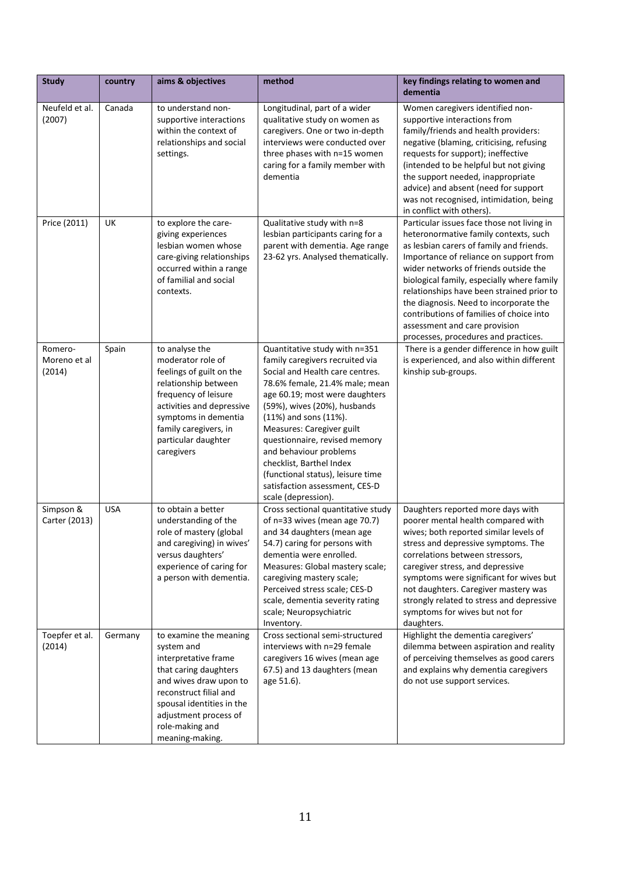| <b>Study</b>                      | country    | aims & objectives                                                                                                                                                                                                                     | method                                                                                                                                                                                                                                                                                                                                                                                                                                                 | key findings relating to women and<br>dementia                                                                                                                                                                                                                                                                                                                                                                                                                               |
|-----------------------------------|------------|---------------------------------------------------------------------------------------------------------------------------------------------------------------------------------------------------------------------------------------|--------------------------------------------------------------------------------------------------------------------------------------------------------------------------------------------------------------------------------------------------------------------------------------------------------------------------------------------------------------------------------------------------------------------------------------------------------|------------------------------------------------------------------------------------------------------------------------------------------------------------------------------------------------------------------------------------------------------------------------------------------------------------------------------------------------------------------------------------------------------------------------------------------------------------------------------|
| Neufeld et al.<br>(2007)          | Canada     | to understand non-<br>supportive interactions<br>within the context of<br>relationships and social<br>settings.                                                                                                                       | Longitudinal, part of a wider<br>qualitative study on women as<br>caregivers. One or two in-depth<br>interviews were conducted over<br>three phases with n=15 women<br>caring for a family member with<br>dementia                                                                                                                                                                                                                                     | Women caregivers identified non-<br>supportive interactions from<br>family/friends and health providers:<br>negative (blaming, criticising, refusing<br>requests for support); ineffective<br>(intended to be helpful but not giving<br>the support needed, inappropriate<br>advice) and absent (need for support<br>was not recognised, intimidation, being<br>in conflict with others).                                                                                    |
| Price (2011)                      | UK         | to explore the care-<br>giving experiences<br>lesbian women whose<br>care-giving relationships<br>occurred within a range<br>of familial and social<br>contexts.                                                                      | Qualitative study with n=8<br>lesbian participants caring for a<br>parent with dementia. Age range<br>23-62 yrs. Analysed thematically.                                                                                                                                                                                                                                                                                                                | Particular issues face those not living in<br>heteronormative family contexts, such<br>as lesbian carers of family and friends.<br>Importance of reliance on support from<br>wider networks of friends outside the<br>biological family, especially where family<br>relationships have been strained prior to<br>the diagnosis. Need to incorporate the<br>contributions of families of choice into<br>assessment and care provision<br>processes, procedures and practices. |
| Romero-<br>Moreno et al<br>(2014) | Spain      | to analyse the<br>moderator role of<br>feelings of guilt on the<br>relationship between<br>frequency of leisure<br>activities and depressive<br>symptoms in dementia<br>family caregivers, in<br>particular daughter<br>caregivers    | Quantitative study with n=351<br>family caregivers recruited via<br>Social and Health care centres.<br>78.6% female, 21.4% male; mean<br>age 60.19; most were daughters<br>(59%), wives (20%), husbands<br>$(11%)$ and sons $(11%).$<br>Measures: Caregiver guilt<br>questionnaire, revised memory<br>and behaviour problems<br>checklist, Barthel Index<br>(functional status), leisure time<br>satisfaction assessment, CES-D<br>scale (depression). | There is a gender difference in how guilt<br>is experienced, and also within different<br>kinship sub-groups.                                                                                                                                                                                                                                                                                                                                                                |
| Simpson &<br>Carter (2013)        | <b>USA</b> | to obtain a better<br>understanding of the<br>role of mastery (global<br>and caregiving) in wives'<br>versus daughters'<br>experience of caring for<br>a person with dementia.                                                        | Cross sectional quantitative study<br>of n=33 wives (mean age 70.7)<br>and 34 daughters (mean age<br>54.7) caring for persons with<br>dementia were enrolled.<br>Measures: Global mastery scale;<br>caregiving mastery scale;<br>Perceived stress scale; CES-D<br>scale, dementia severity rating<br>scale; Neuropsychiatric<br>Inventory.                                                                                                             | Daughters reported more days with<br>poorer mental health compared with<br>wives; both reported similar levels of<br>stress and depressive symptoms. The<br>correlations between stressors,<br>caregiver stress, and depressive<br>symptoms were significant for wives but<br>not daughters. Caregiver mastery was<br>strongly related to stress and depressive<br>symptoms for wives but not for<br>daughters.                                                              |
| Toepfer et al.<br>(2014)          | Germany    | to examine the meaning<br>system and<br>interpretative frame<br>that caring daughters<br>and wives draw upon to<br>reconstruct filial and<br>spousal identities in the<br>adjustment process of<br>role-making and<br>meaning-making. | Cross sectional semi-structured<br>interviews with n=29 female<br>caregivers 16 wives (mean age<br>67.5) and 13 daughters (mean<br>age 51.6).                                                                                                                                                                                                                                                                                                          | Highlight the dementia caregivers'<br>dilemma between aspiration and reality<br>of perceiving themselves as good carers<br>and explains why dementia caregivers<br>do not use support services.                                                                                                                                                                                                                                                                              |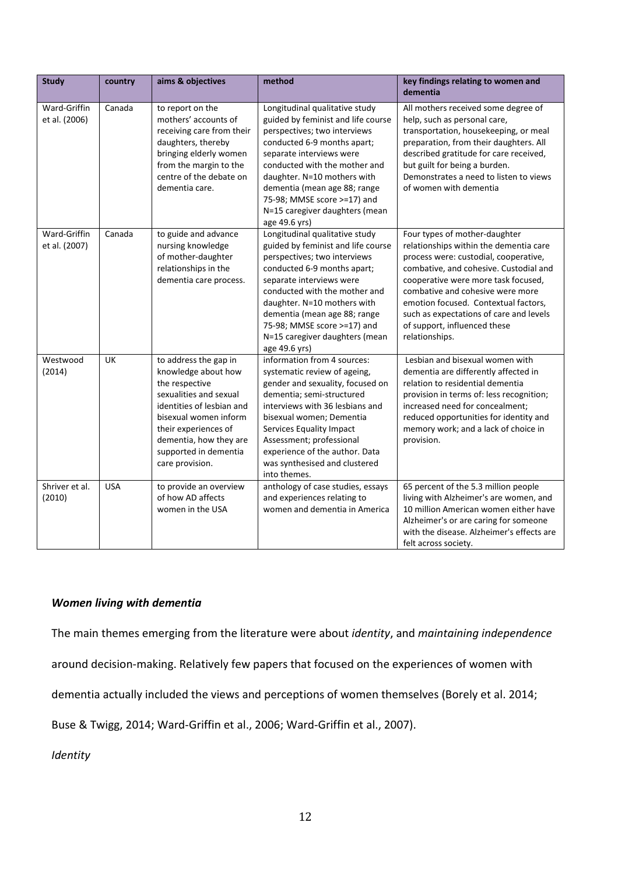| <b>Study</b>                  | country    | aims & objectives                                                                                                                                                                                                                            | method                                                                                                                                                                                                                                                                                                                                            | key findings relating to women and<br>dementia                                                                                                                                                                                                                                                                                                                             |
|-------------------------------|------------|----------------------------------------------------------------------------------------------------------------------------------------------------------------------------------------------------------------------------------------------|---------------------------------------------------------------------------------------------------------------------------------------------------------------------------------------------------------------------------------------------------------------------------------------------------------------------------------------------------|----------------------------------------------------------------------------------------------------------------------------------------------------------------------------------------------------------------------------------------------------------------------------------------------------------------------------------------------------------------------------|
| Ward-Griffin<br>et al. (2006) | Canada     | to report on the<br>mothers' accounts of<br>receiving care from their<br>daughters, thereby<br>bringing elderly women<br>from the margin to the<br>centre of the debate on<br>dementia care.                                                 | Longitudinal qualitative study<br>guided by feminist and life course<br>perspectives; two interviews<br>conducted 6-9 months apart;<br>separate interviews were<br>conducted with the mother and<br>daughter. N=10 mothers with<br>dementia (mean age 88; range<br>75-98; MMSE score >=17) and<br>N=15 caregiver daughters (mean<br>age 49.6 yrs) | All mothers received some degree of<br>help, such as personal care,<br>transportation, housekeeping, or meal<br>preparation, from their daughters. All<br>described gratitude for care received,<br>but guilt for being a burden.<br>Demonstrates a need to listen to views<br>of women with dementia                                                                      |
| Ward-Griffin<br>et al. (2007) | Canada     | to guide and advance<br>nursing knowledge<br>of mother-daughter<br>relationships in the<br>dementia care process.                                                                                                                            | Longitudinal qualitative study<br>guided by feminist and life course<br>perspectives; two interviews<br>conducted 6-9 months apart;<br>separate interviews were<br>conducted with the mother and<br>daughter. N=10 mothers with<br>dementia (mean age 88; range<br>75-98; MMSE score >=17) and<br>N=15 caregiver daughters (mean<br>age 49.6 yrs) | Four types of mother-daughter<br>relationships within the dementia care<br>process were: custodial, cooperative,<br>combative, and cohesive. Custodial and<br>cooperative were more task focused,<br>combative and cohesive were more<br>emotion focused. Contextual factors,<br>such as expectations of care and levels<br>of support, influenced these<br>relationships. |
| Westwood<br>(2014)            | <b>UK</b>  | to address the gap in<br>knowledge about how<br>the respective<br>sexualities and sexual<br>identities of lesbian and<br>bisexual women inform<br>their experiences of<br>dementia, how they are<br>supported in dementia<br>care provision. | information from 4 sources:<br>systematic review of ageing,<br>gender and sexuality, focused on<br>dementia; semi-structured<br>interviews with 36 lesbians and<br>bisexual women; Dementia<br>Services Equality Impact<br>Assessment; professional<br>experience of the author. Data<br>was synthesised and clustered<br>into themes.            | Lesbian and bisexual women with<br>dementia are differently affected in<br>relation to residential dementia<br>provision in terms of: less recognition;<br>increased need for concealment;<br>reduced opportunities for identity and<br>memory work; and a lack of choice in<br>provision.                                                                                 |
| Shriver et al.<br>(2010)      | <b>USA</b> | to provide an overview<br>of how AD affects<br>women in the USA                                                                                                                                                                              | anthology of case studies, essays<br>and experiences relating to<br>women and dementia in America                                                                                                                                                                                                                                                 | 65 percent of the 5.3 million people<br>living with Alzheimer's are women, and<br>10 million American women either have<br>Alzheimer's or are caring for someone<br>with the disease. Alzheimer's effects are<br>felt across society.                                                                                                                                      |

# *Women living with dementia*

The main themes emerging from the literature were about *identity*, and *maintaining independence*

around decision-making. Relatively few papers that focused on the experiences of women with

dementia actually included the views and perceptions of women themselves (Borely et al. 2014;

Buse & Twigg, 2014; Ward-Griffin et al., 2006; Ward-Griffin et al., 2007).

*Identity*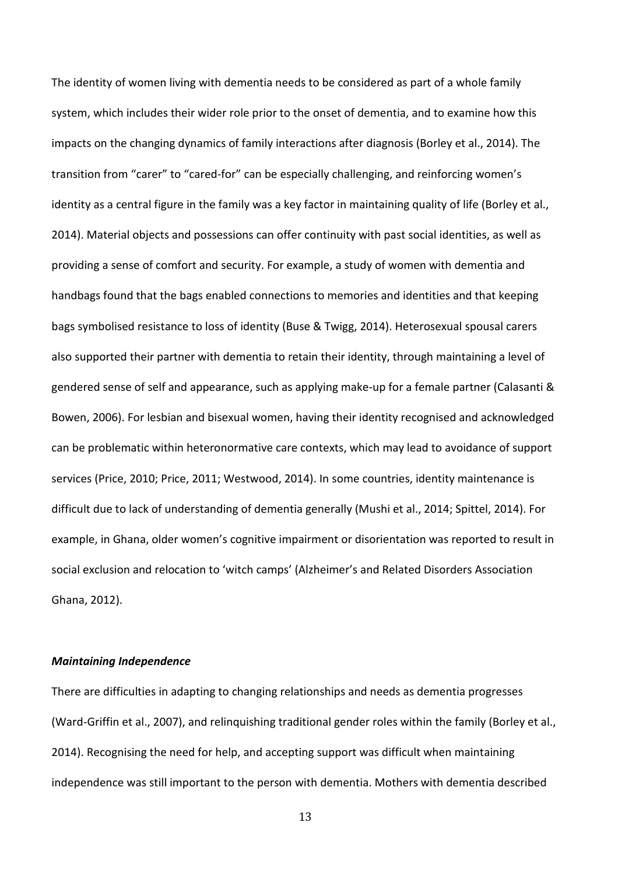The identity of women living with dementia needs to be considered as part of a whole family system, which includes their wider role prior to the onset of dementia, and to examine how this impacts on the changing dynamics of family interactions after diagnosis (Borley et al., 2014). The transition from "carer" to "cared-for" can be especially challenging, and reinforcing women's identity as a central figure in the family was a key factor in maintaining quality of life (Borley et al., 2014). Material objects and possessions can offer continuity with past social identities, as well as providing a sense of comfort and security. For example, a study of women with dementia and handbags found that the bags enabled connections to memories and identities and that keeping bags symbolised resistance to loss of identity (Buse & Twigg, 2014). Heterosexual spousal carers also supported their partner with dementia to retain their identity, through maintaining a level of gendered sense of self and appearance, such as applying make-up for a female partner (Calasanti & Bowen, 2006). For lesbian and bisexual women, having their identity recognised and acknowledged can be problematic within heteronormative care contexts, which may lead to avoidance of support services (Price, 2010; Price, 2011; Westwood, 2014). In some countries, identity maintenance is difficult due to lack of understanding of dementia generally (Mushi et al., 2014; Spittel, 2014). For example, in Ghana, older women's cognitive impairment or disorientation was reported to result in social exclusion and relocation to 'witch camps' (Alzheimer's and Related Disorders Association Ghana, 2012).

#### *Maintaining Independence*

There are difficulties in adapting to changing relationships and needs as dementia progresses (Ward-Griffin et al., 2007), and relinquishing traditional gender roles within the family (Borley et al., 2014). Recognising the need for help, and accepting support was difficult when maintaining independence was still important to the person with dementia. Mothers with dementia described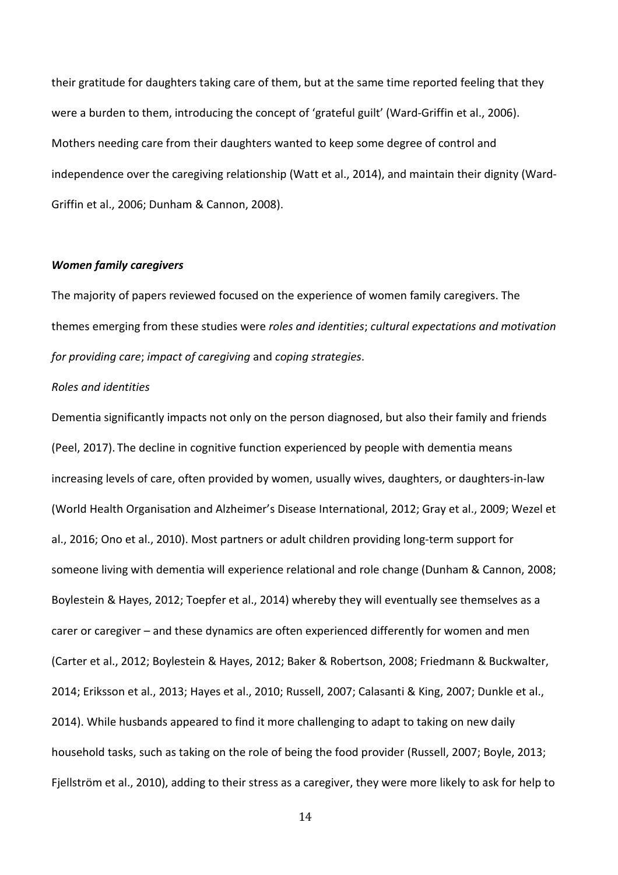their gratitude for daughters taking care of them, but at the same time reported feeling that they were a burden to them, introducing the concept of 'grateful guilt' (Ward-Griffin et al., 2006). Mothers needing care from their daughters wanted to keep some degree of control and independence over the caregiving relationship (Watt et al., 2014), and maintain their dignity (Ward-Griffin et al., 2006; Dunham & Cannon, 2008).

#### *Women family caregivers*

The majority of papers reviewed focused on the experience of women family caregivers. The themes emerging from these studies were *roles and identities*; *cultural expectations and motivation for providing care*; *impact of caregiving* and *coping strategies*.

### *Roles and identities*

Dementia significantly impacts not only on the person diagnosed, but also their family and friends (Peel, 2017). The decline in cognitive function experienced by people with dementia means increasing levels of care, often provided by women, usually wives, daughters, or daughters-in-law (World Health Organisation and Alzheimer's Disease International, 2012; Gray et al., 2009; Wezel et al., 2016; Ono et al., 2010). Most partners or adult children providing long-term support for someone living with dementia will experience relational and role change (Dunham & Cannon, 2008; Boylestein & Hayes, 2012; Toepfer et al., 2014) whereby they will eventually see themselves as a carer or caregiver – and these dynamics are often experienced differently for women and men (Carter et al., 2012; Boylestein & Hayes, 2012; Baker & Robertson, 2008; Friedmann & Buckwalter, 2014; Eriksson et al., 2013; Hayes et al., 2010; Russell, 2007; Calasanti & King, 2007; Dunkle et al., 2014). While husbands appeared to find it more challenging to adapt to taking on new daily household tasks, such as taking on the role of being the food provider (Russell, 2007; Boyle, 2013; Fjellström et al., 2010), adding to their stress as a caregiver, they were more likely to ask for help to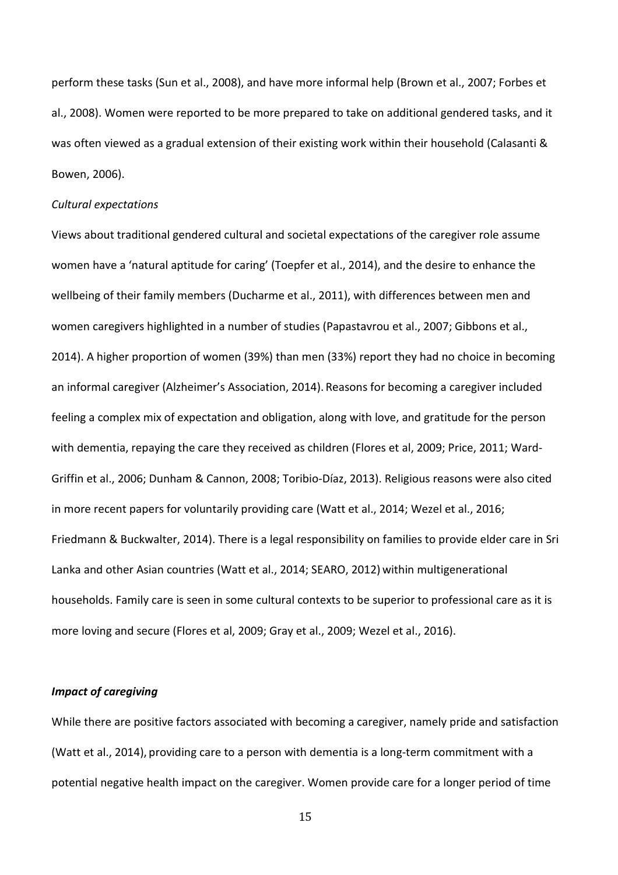perform these tasks (Sun et al., 2008), and have more informal help (Brown et al., 2007; Forbes et al., 2008). Women were reported to be more prepared to take on additional gendered tasks, and it was often viewed as a gradual extension of their existing work within their household (Calasanti & Bowen, 2006).

### *Cultural expectations*

Views about traditional gendered cultural and societal expectations of the caregiver role assume women have a 'natural aptitude for caring' (Toepfer et al., 2014), and the desire to enhance the wellbeing of their family members (Ducharme et al., 2011), with differences between men and women caregivers highlighted in a number of studies (Papastavrou et al., 2007; Gibbons et al., 2014). A higher proportion of women (39%) than men (33%) report they had no choice in becoming an informal caregiver (Alzheimer's Association, 2014). Reasons for becoming a caregiver included feeling a complex mix of expectation and obligation, along with love, and gratitude for the person with dementia, repaying the care they received as children (Flores et al, 2009; Price, 2011; Ward-Griffin et al., 2006; Dunham & Cannon, 2008; Toribio-Díaz, 2013). Religious reasons were also cited in more recent papers for voluntarily providing care (Watt et al., 2014; Wezel et al., 2016; Friedmann & Buckwalter, 2014). There is a legal responsibility on families to provide elder care in Sri Lanka and other Asian countries (Watt et al., 2014; SEARO, 2012) within multigenerational households. Family care is seen in some cultural contexts to be superior to professional care as it is more loving and secure (Flores et al, 2009; Gray et al., 2009; Wezel et al., 2016).

### *Impact of caregiving*

While there are positive factors associated with becoming a caregiver, namely pride and satisfaction (Watt et al., 2014), providing care to a person with dementia is a long-term commitment with a potential negative health impact on the caregiver. Women provide care for a longer period of time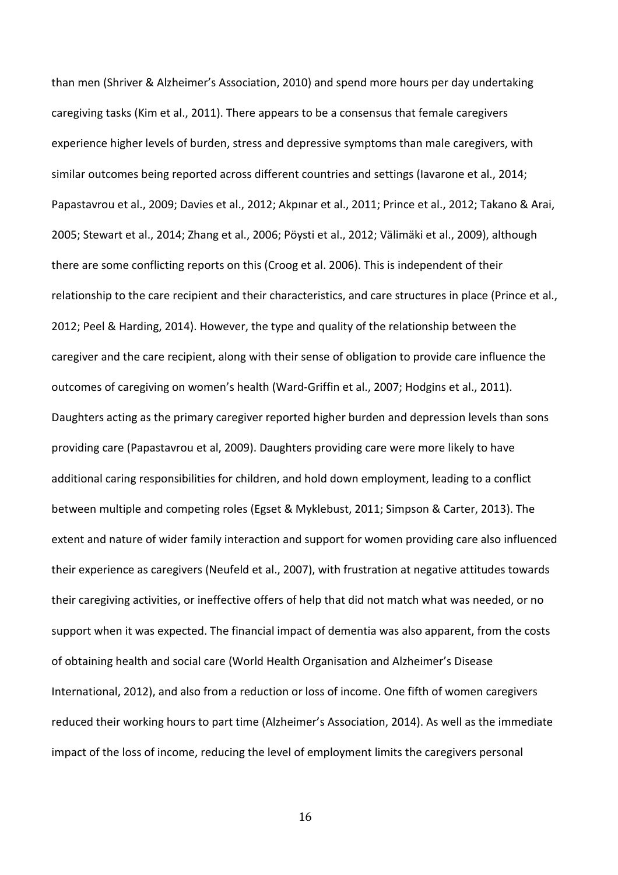than men (Shriver & Alzheimer's Association, 2010) and spend more hours per day undertaking caregiving tasks (Kim et al., 2011). There appears to be a consensus that female caregivers experience higher levels of burden, stress and depressive symptoms than male caregivers, with similar outcomes being reported across different countries and settings (Iavarone et al., 2014; Papastavrou et al., 2009; Davies et al., 2012; Akpınar et al., 2011; Prince et al., 2012; Takano & Arai, 2005; Stewart et al., 2014; Zhang et al., 2006; Pöysti et al., 2012; Välimäki et al., 2009), although there are some conflicting reports on this (Croog et al. 2006). This is independent of their relationship to the care recipient and their characteristics, and care structures in place (Prince et al., 2012; Peel & Harding, 2014). However, the type and quality of the relationship between the caregiver and the care recipient, along with their sense of obligation to provide care influence the outcomes of caregiving on women's health (Ward-Griffin et al., 2007; Hodgins et al., 2011). Daughters acting as the primary caregiver reported higher burden and depression levels than sons providing care (Papastavrou et al, 2009). Daughters providing care were more likely to have additional caring responsibilities for children, and hold down employment, leading to a conflict between multiple and competing roles (Egset & Myklebust, 2011; Simpson & Carter, 2013). The extent and nature of wider family interaction and support for women providing care also influenced their experience as caregivers (Neufeld et al., 2007), with frustration at negative attitudes towards their caregiving activities, or ineffective offers of help that did not match what was needed, or no support when it was expected. The financial impact of dementia was also apparent, from the costs of obtaining health and social care (World Health Organisation and Alzheimer's Disease International, 2012), and also from a reduction or loss of income. One fifth of women caregivers reduced their working hours to part time (Alzheimer's Association, 2014). As well as the immediate impact of the loss of income, reducing the level of employment limits the caregivers personal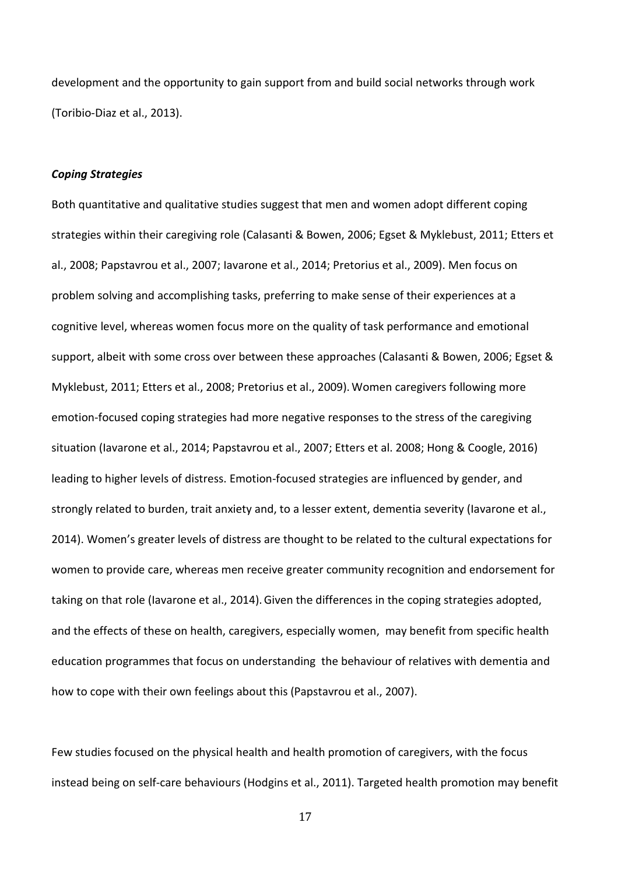development and the opportunity to gain support from and build social networks through work (Toribio-Diaz et al., 2013).

#### *Coping Strategies*

Both quantitative and qualitative studies suggest that men and women adopt different coping strategies within their caregiving role (Calasanti & Bowen, 2006; Egset & Myklebust, 2011; Etters et al., 2008; Papstavrou et al., 2007; Iavarone et al., 2014; Pretorius et al., 2009). Men focus on problem solving and accomplishing tasks, preferring to make sense of their experiences at a cognitive level, whereas women focus more on the quality of task performance and emotional support, albeit with some cross over between these approaches (Calasanti & Bowen, 2006; Egset & Myklebust, 2011; Etters et al., 2008; Pretorius et al., 2009).Women caregivers following more emotion-focused coping strategies had more negative responses to the stress of the caregiving situation (Iavarone et al., 2014; Papstavrou et al., 2007; Etters et al. 2008; Hong & Coogle, 2016) leading to higher levels of distress. Emotion-focused strategies are influenced by gender, and strongly related to burden, trait anxiety and, to a lesser extent, dementia severity (Iavarone et al., 2014). Women's greater levels of distress are thought to be related to the cultural expectations for women to provide care, whereas men receive greater community recognition and endorsement for taking on that role (Iavarone et al., 2014). Given the differences in the coping strategies adopted, and the effects of these on health, caregivers, especially women, may benefit from specific health education programmes that focus on understanding the behaviour of relatives with dementia and how to cope with their own feelings about this (Papstavrou et al., 2007).

Few studies focused on the physical health and health promotion of caregivers, with the focus instead being on self-care behaviours (Hodgins et al., 2011). Targeted health promotion may benefit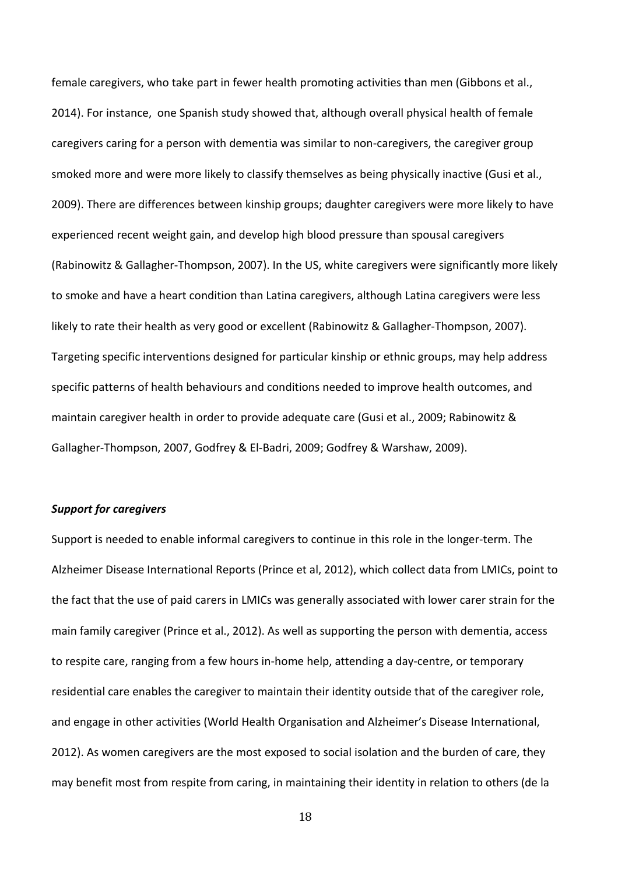female caregivers, who take part in fewer health promoting activities than men (Gibbons et al., 2014). For instance, one Spanish study showed that, although overall physical health of female caregivers caring for a person with dementia was similar to non-caregivers, the caregiver group smoked more and were more likely to classify themselves as being physically inactive (Gusi et al., 2009). There are differences between kinship groups; daughter caregivers were more likely to have experienced recent weight gain, and develop high blood pressure than spousal caregivers (Rabinowitz & Gallagher-Thompson, 2007). In the US, white caregivers were significantly more likely to smoke and have a heart condition than Latina caregivers, although Latina caregivers were less likely to rate their health as very good or excellent (Rabinowitz & Gallagher-Thompson, 2007). Targeting specific interventions designed for particular kinship or ethnic groups, may help address specific patterns of health behaviours and conditions needed to improve health outcomes, and maintain caregiver health in order to provide adequate care (Gusi et al., 2009; Rabinowitz & Gallagher-Thompson, 2007, Godfrey & El-Badri, 2009; Godfrey & Warshaw, 2009).

### *Support for caregivers*

Support is needed to enable informal caregivers to continue in this role in the longer-term. The Alzheimer Disease International Reports (Prince et al, 2012), which collect data from LMICs, point to the fact that the use of paid carers in LMICs was generally associated with lower carer strain for the main family caregiver (Prince et al., 2012). As well as supporting the person with dementia, access to respite care, ranging from a few hours in-home help, attending a day-centre, or temporary residential care enables the caregiver to maintain their identity outside that of the caregiver role, and engage in other activities (World Health Organisation and Alzheimer's Disease International, 2012). As women caregivers are the most exposed to social isolation and the burden of care, they may benefit most from respite from caring, in maintaining their identity in relation to others (de la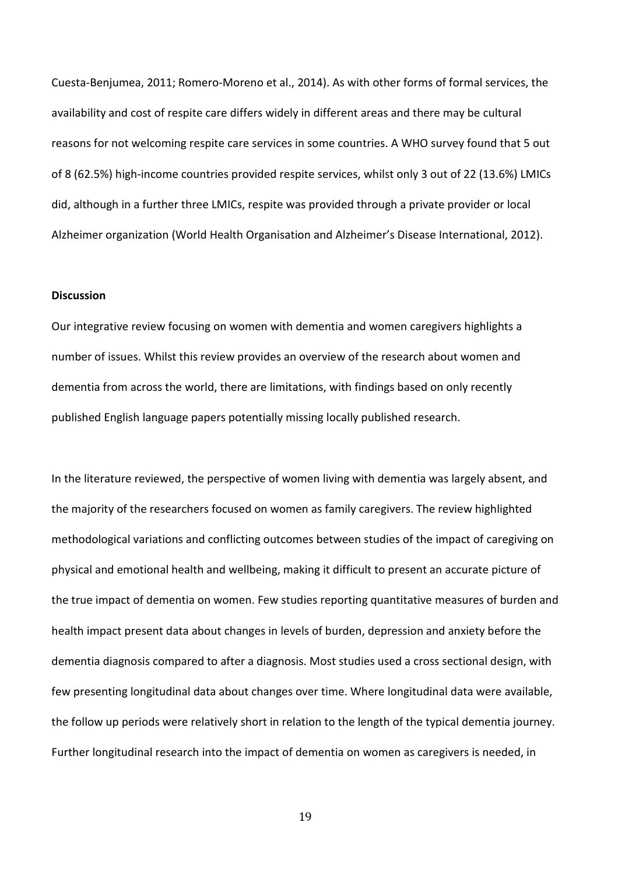Cuesta-Benjumea, 2011; Romero-Moreno et al., 2014). As with other forms of formal services, the availability and cost of respite care differs widely in different areas and there may be cultural reasons for not welcoming respite care services in some countries. A WHO survey found that 5 out of 8 (62.5%) high-income countries provided respite services, whilst only 3 out of 22 (13.6%) LMICs did, although in a further three LMICs, respite was provided through a private provider or local Alzheimer organization (World Health Organisation and Alzheimer's Disease International, 2012).

### **Discussion**

Our integrative review focusing on women with dementia and women caregivers highlights a number of issues. Whilst this review provides an overview of the research about women and dementia from across the world, there are limitations, with findings based on only recently published English language papers potentially missing locally published research.

In the literature reviewed, the perspective of women living with dementia was largely absent, and the majority of the researchers focused on women as family caregivers. The review highlighted methodological variations and conflicting outcomes between studies of the impact of caregiving on physical and emotional health and wellbeing, making it difficult to present an accurate picture of the true impact of dementia on women. Few studies reporting quantitative measures of burden and health impact present data about changes in levels of burden, depression and anxiety before the dementia diagnosis compared to after a diagnosis. Most studies used a cross sectional design, with few presenting longitudinal data about changes over time. Where longitudinal data were available, the follow up periods were relatively short in relation to the length of the typical dementia journey. Further longitudinal research into the impact of dementia on women as caregivers is needed, in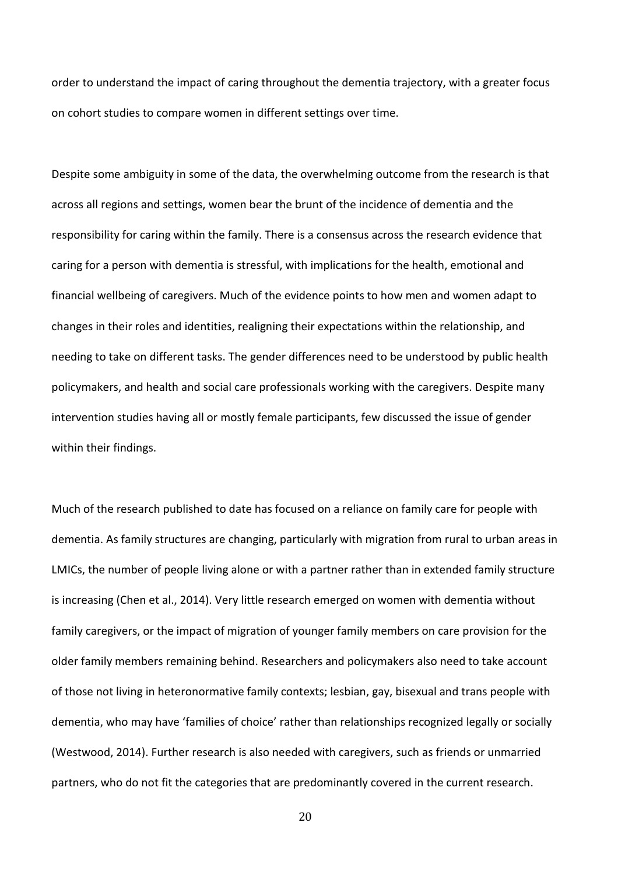order to understand the impact of caring throughout the dementia trajectory, with a greater focus on cohort studies to compare women in different settings over time.

Despite some ambiguity in some of the data, the overwhelming outcome from the research is that across all regions and settings, women bear the brunt of the incidence of dementia and the responsibility for caring within the family. There is a consensus across the research evidence that caring for a person with dementia is stressful, with implications for the health, emotional and financial wellbeing of caregivers. Much of the evidence points to how men and women adapt to changes in their roles and identities, realigning their expectations within the relationship, and needing to take on different tasks. The gender differences need to be understood by public health policymakers, and health and social care professionals working with the caregivers. Despite many intervention studies having all or mostly female participants, few discussed the issue of gender within their findings.

Much of the research published to date has focused on a reliance on family care for people with dementia. As family structures are changing, particularly with migration from rural to urban areas in LMICs, the number of people living alone or with a partner rather than in extended family structure is increasing (Chen et al., 2014). Very little research emerged on women with dementia without family caregivers, or the impact of migration of younger family members on care provision for the older family members remaining behind. Researchers and policymakers also need to take account of those not living in heteronormative family contexts; lesbian, gay, bisexual and trans people with dementia, who may have 'families of choice' rather than relationships recognized legally or socially (Westwood, 2014). Further research is also needed with caregivers, such as friends or unmarried partners, who do not fit the categories that are predominantly covered in the current research.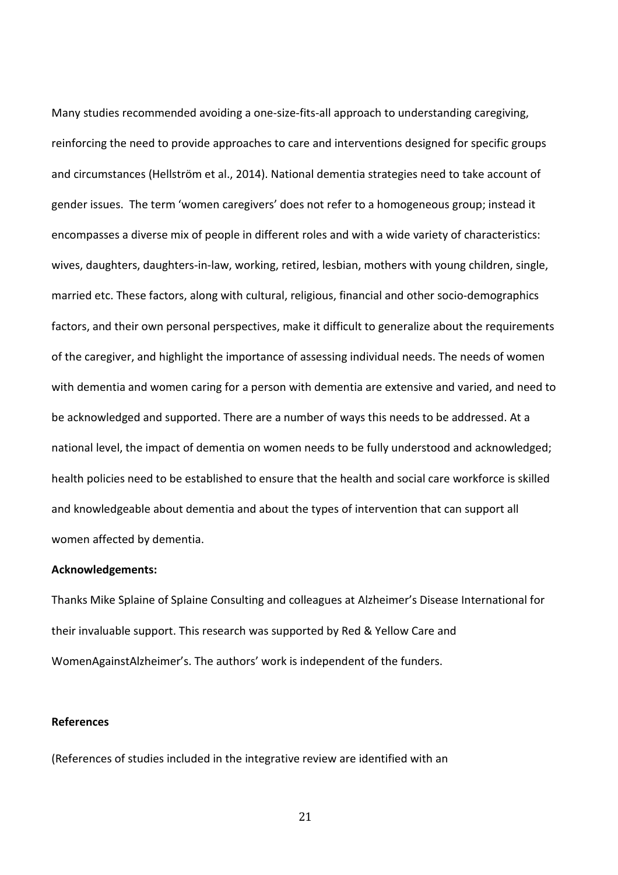Many studies recommended avoiding a one-size-fits-all approach to understanding caregiving, reinforcing the need to provide approaches to care and interventions designed for specific groups and circumstances (Hellström et al., 2014). National dementia strategies need to take account of gender issues. The term 'women caregivers' does not refer to a homogeneous group; instead it encompasses a diverse mix of people in different roles and with a wide variety of characteristics: wives, daughters, daughters-in-law, working, retired, lesbian, mothers with young children, single, married etc. These factors, along with cultural, religious, financial and other socio-demographics factors, and their own personal perspectives, make it difficult to generalize about the requirements of the caregiver, and highlight the importance of assessing individual needs. The needs of women with dementia and women caring for a person with dementia are extensive and varied, and need to be acknowledged and supported. There are a number of ways this needs to be addressed. At a national level, the impact of dementia on women needs to be fully understood and acknowledged; health policies need to be established to ensure that the health and social care workforce is skilled and knowledgeable about dementia and about the types of intervention that can support all women affected by dementia.

### **Acknowledgements:**

Thanks Mike Splaine of Splaine Consulting and colleagues at Alzheimer's Disease International for their invaluable support. This research was supported by Red & Yellow Care and WomenAgainstAlzheimer's. The authors' work is independent of the funders.

# **References**

(References of studies included in the integrative review are identified with an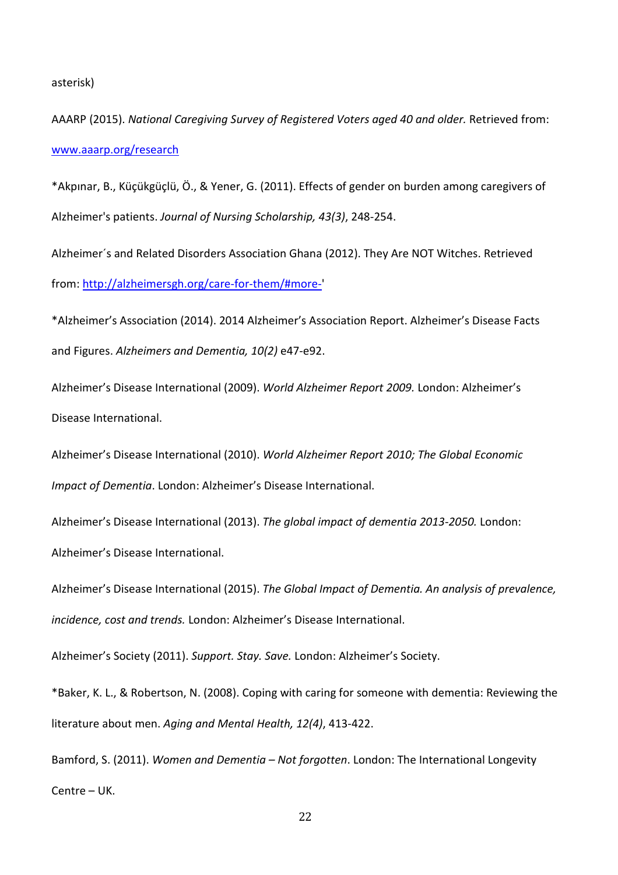#### asterisk)

AAARP (2015). *National Caregiving Survey of Registered Voters aged 40 and older.* Retrieved from: [www.aaarp.org/research](http://www.aaarp.org/research)

\*Akpınar, B., Küçükgüçlü, Ö., & Yener, G. (2011). Effects of gender on burden among caregivers of Alzheimer's patients. *Journal of Nursing Scholarship, 43(3)*, 248-254.

Alzheimer´s and Related Disorders Association Ghana (2012). They Are NOT Witches. Retrieved from: [http://alzheimersgh.org/care-for-them/#more-'](http://alzheimersgh.org/care-for-them/#more-)

\*Alzheimer's Association (2014). 2014 Alzheimer's Association Report. Alzheimer's Disease Facts and Figures. *Alzheimers and Dementia, 10(2)* e47-e92.

Alzheimer's Disease International (2009). *World Alzheimer Report 2009.* London: Alzheimer's Disease International.

Alzheimer's Disease International (2010). *World Alzheimer Report 2010; The Global Economic Impact of Dementia*. London: Alzheimer's Disease International.

Alzheimer's Disease International (2013). *The global impact of dementia 2013-2050.* London: Alzheimer's Disease International.

Alzheimer's Disease International (2015). *The Global Impact of Dementia. An analysis of prevalence, incidence, cost and trends.* London: Alzheimer's Disease International.

Alzheimer's Society (2011). *Support. Stay. Save.* London: Alzheimer's Society.

\*Baker, K. L., & Robertson, N. (2008). Coping with caring for someone with dementia: Reviewing the literature about men. *Aging and Mental Health, 12(4)*, 413-422.

Bamford, S. (2011). *Women and Dementia – Not forgotten*. London: The International Longevity Centre – UK.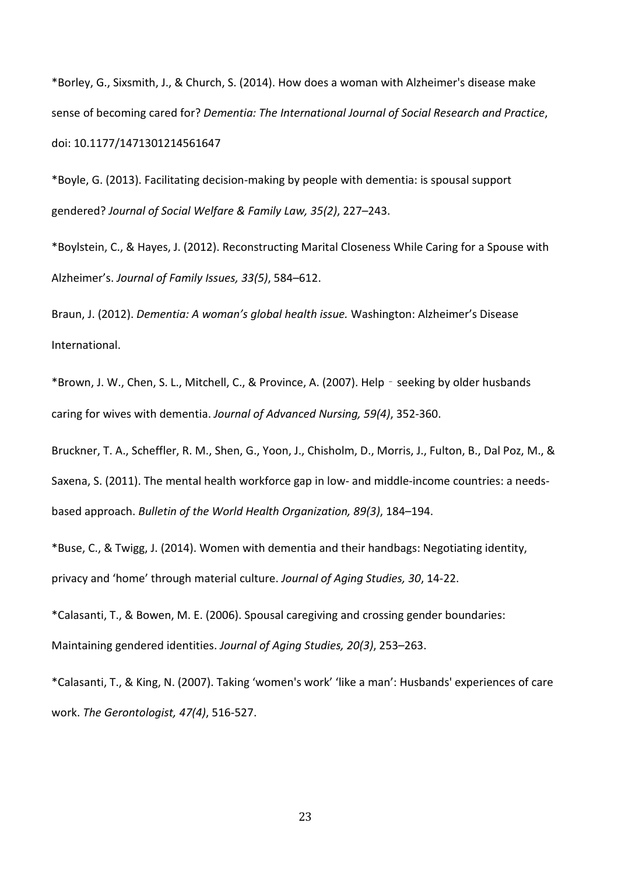\*Borley, G., Sixsmith, J., & Church, S. (2014). How does a woman with Alzheimer's disease make sense of becoming cared for? *Dementia: The International Journal of Social Research and Practice*, doi: 10.1177/1471301214561647

\*Boyle, G. (2013). Facilitating decision-making by people with dementia: is spousal support gendered? *Journal of Social Welfare & Family Law, 35(2)*, 227–243.

\*Boylstein, C., & Hayes, J. (2012). Reconstructing Marital Closeness While Caring for a Spouse with Alzheimer's. *Journal of Family Issues, 33(5)*, 584–612.

Braun, J. (2012). *Dementia: A woman's global health issue.* Washington: Alzheimer's Disease International.

\*Brown, J. W., Chen, S. L., Mitchell, C., & Province, A. (2007). Help‐seeking by older husbands caring for wives with dementia. *Journal of Advanced Nursing, 59(4)*, 352-360.

Bruckner, T. A., Scheffler, R. M., Shen, G., Yoon, J., Chisholm, D., Morris, J., Fulton, B., Dal Poz, M., & Saxena, S. (2011). The mental health workforce gap in low- and middle-income countries: a needsbased approach. *Bulletin of the World Health Organization, 89(3)*, 184–194.

\*Buse, C., & Twigg, J. (2014). Women with dementia and their handbags: Negotiating identity, privacy and 'home' through material culture. *Journal of Aging Studies, 30*, 14-22.

\*Calasanti, T., & Bowen, M. E. (2006). Spousal caregiving and crossing gender boundaries: Maintaining gendered identities. *Journal of Aging Studies, 20(3)*, 253–263.

\*Calasanti, T., & King, N. (2007). Taking 'women's work' 'like a man': Husbands' experiences of care work. *The Gerontologist, 47(4)*, 516-527.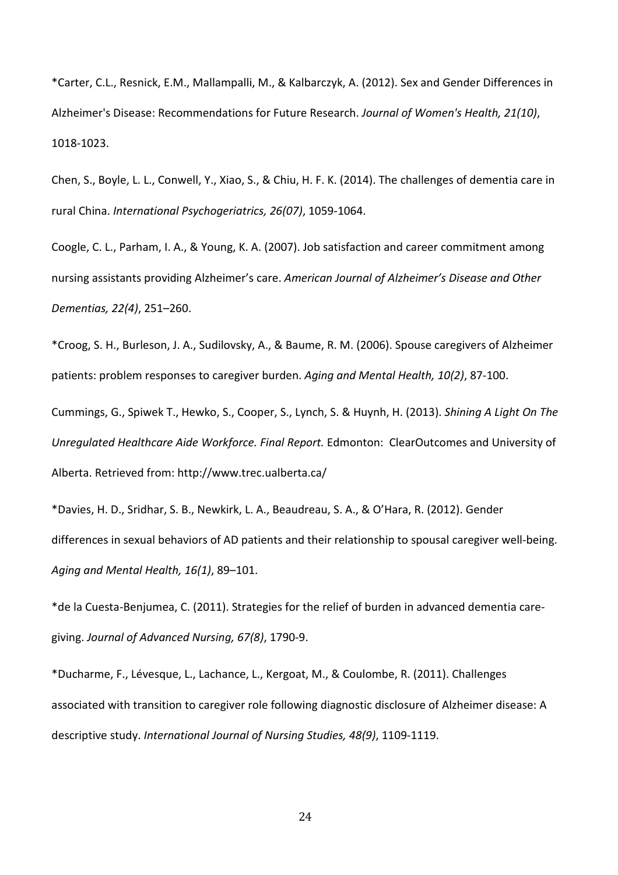\*Carter, C.L., Resnick, E.M., Mallampalli, M., & Kalbarczyk, A. (2012). Sex and Gender Differences in Alzheimer's Disease: Recommendations for Future Research. *Journal of Women's Health, 21(10)*, 1018-1023.

Chen, S., Boyle, L. L., Conwell, Y., Xiao, S., & Chiu, H. F. K. (2014). The challenges of dementia care in rural China. *International Psychogeriatrics, 26(07)*, 1059-1064.

Coogle, C. L., Parham, I. A., & Young, K. A. (2007). Job satisfaction and career commitment among nursing assistants providing Alzheimer's care. *American Journal of Alzheimer's Disease and Other Dementias, 22(4)*, 251–260.

\*Croog, S. H., Burleson, J. A., Sudilovsky, A., & Baume, R. M. (2006). Spouse caregivers of Alzheimer patients: problem responses to caregiver burden. *Aging and Mental Health, 10(2)*, 87-100.

Cummings, G., Spiwek T., Hewko, S., Cooper, S., Lynch, S. & Huynh, H. (2013). *Shining A Light On The Unregulated Healthcare Aide Workforce. Final Report.* Edmonton: ClearOutcomes and University of Alberta. Retrieved from: http://www.trec.ualberta.ca/

\*Davies, H. D., Sridhar, S. B., Newkirk, L. A., Beaudreau, S. A., & O'Hara, R. (2012). Gender differences in sexual behaviors of AD patients and their relationship to spousal caregiver well-being. *Aging and Mental Health, 16(1)*, 89–101.

\*de la Cuesta-Benjumea, C. (2011). Strategies for the relief of burden in advanced dementia caregiving. *Journal of Advanced Nursing, 67(8)*, 1790-9.

\*Ducharme, F., Lévesque, L., Lachance, L., Kergoat, M., & Coulombe, R. (2011). Challenges associated with transition to caregiver role following diagnostic disclosure of Alzheimer disease: A descriptive study. *International Journal of Nursing Studies, 48(9)*, 1109-1119.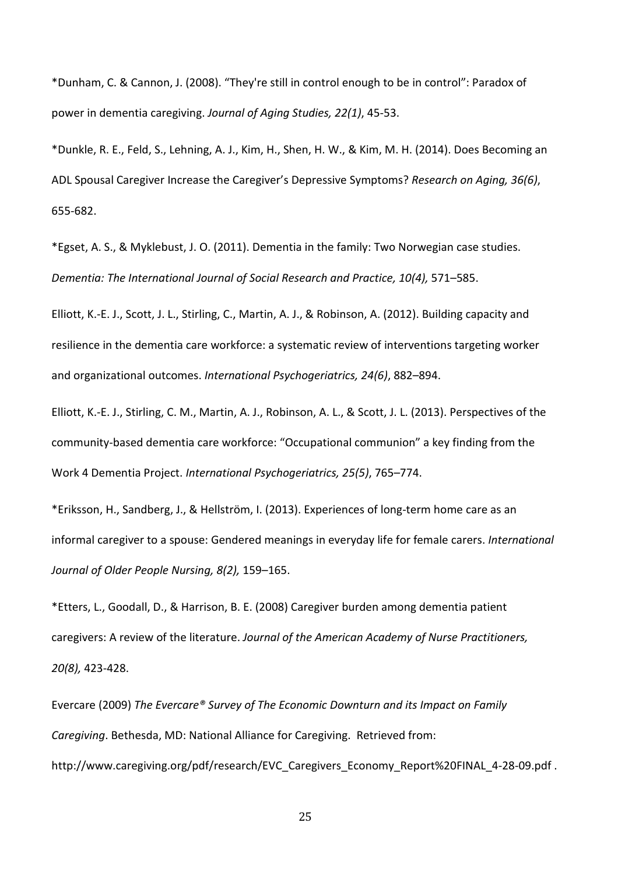\*Dunham, C. & Cannon, J. (2008). "They're still in control enough to be in control": Paradox of power in dementia caregiving. *Journal of Aging Studies, 22(1)*, 45-53.

\*Dunkle, R. E., Feld, S., Lehning, A. J., Kim, H., Shen, H. W., & Kim, M. H. (2014). Does Becoming an ADL Spousal Caregiver Increase the Caregiver's Depressive Symptoms? *Research on Aging, 36(6)*, 655-682.

\*Egset, A. S., & Myklebust, J. O. (2011). Dementia in the family: Two Norwegian case studies. *Dementia: The International Journal of Social Research and Practice, 10(4),* 571–585.

Elliott, K.-E. J., Scott, J. L., Stirling, C., Martin, A. J., & Robinson, A. (2012). Building capacity and resilience in the dementia care workforce: a systematic review of interventions targeting worker and organizational outcomes. *International Psychogeriatrics, 24(6)*, 882–894.

Elliott, K.-E. J., Stirling, C. M., Martin, A. J., Robinson, A. L., & Scott, J. L. (2013). Perspectives of the community-based dementia care workforce: "Occupational communion" a key finding from the Work 4 Dementia Project. *International Psychogeriatrics, 25(5)*, 765–774.

\*Eriksson, H., Sandberg, J., & Hellström, I. (2013). Experiences of long-term home care as an informal caregiver to a spouse: Gendered meanings in everyday life for female carers. *International Journal of Older People Nursing, 8(2),* 159–165.

\*Etters, L., Goodall, D., & Harrison, B. E. (2008) Caregiver burden among dementia patient caregivers: A review of the literature. *Journal of the American Academy of Nurse Practitioners, 20(8),* 423-428.

Evercare (2009) *The Evercare® Survey of The Economic Downturn and its Impact on Family Caregiving*. Bethesda, MD: National Alliance for Caregiving. Retrieved from: http://www.caregiving.org/pdf/research/EVC\_Caregivers\_Economy\_Report%20FINAL\_4-28-09.pdf .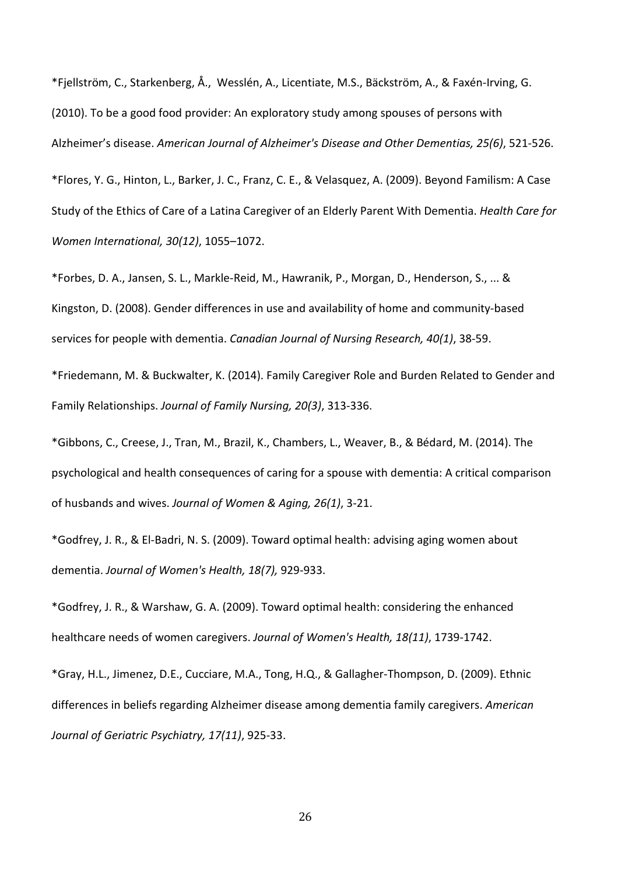\*Fjellström, C., Starkenberg, Å., Wesslén, A., Licentiate, M.S., Bäckström, A., & Faxén-Irving, G. (2010). To be a good food provider: An exploratory study among spouses of persons with Alzheimer's disease. *American Journal of Alzheimer's Disease and Other Dementias, 25(6)*, 521-526.

\*Flores, Y. G., Hinton, L., Barker, J. C., Franz, C. E., & Velasquez, A. (2009). Beyond Familism: A Case Study of the Ethics of Care of a Latina Caregiver of an Elderly Parent With Dementia. *Health Care for Women International, 30(12)*, 1055–1072.

\*Forbes, D. A., Jansen, S. L., Markle-Reid, M., Hawranik, P., Morgan, D., Henderson, S., ... & Kingston, D. (2008). Gender differences in use and availability of home and community-based services for people with dementia. *Canadian Journal of Nursing Research, 40(1)*, 38-59.

\*Friedemann, M. & Buckwalter, K. (2014). Family Caregiver Role and Burden Related to Gender and Family Relationships. *Journal of Family Nursing, 20(3)*, 313-336.

\*Gibbons, C., Creese, J., Tran, M., Brazil, K., Chambers, L., Weaver, B., & Bédard, M. (2014). The psychological and health consequences of caring for a spouse with dementia: A critical comparison of husbands and wives. *Journal of Women & Aging, 26(1)*, 3-21.

\*Godfrey, J. R., & El-Badri, N. S. (2009). Toward optimal health: advising aging women about dementia. *Journal of Women's Health, 18(7),* 929-933.

\*Godfrey, J. R., & Warshaw, G. A. (2009). Toward optimal health: considering the enhanced healthcare needs of women caregivers. *Journal of Women's Health, 18(11)*, 1739-1742.

\*Gray, H.L., Jimenez, D.E., Cucciare, M.A., Tong, H.Q., & Gallagher-Thompson, D. (2009). Ethnic differences in beliefs regarding Alzheimer disease among dementia family caregivers. *American Journal of Geriatric Psychiatry, 17(11)*, 925-33.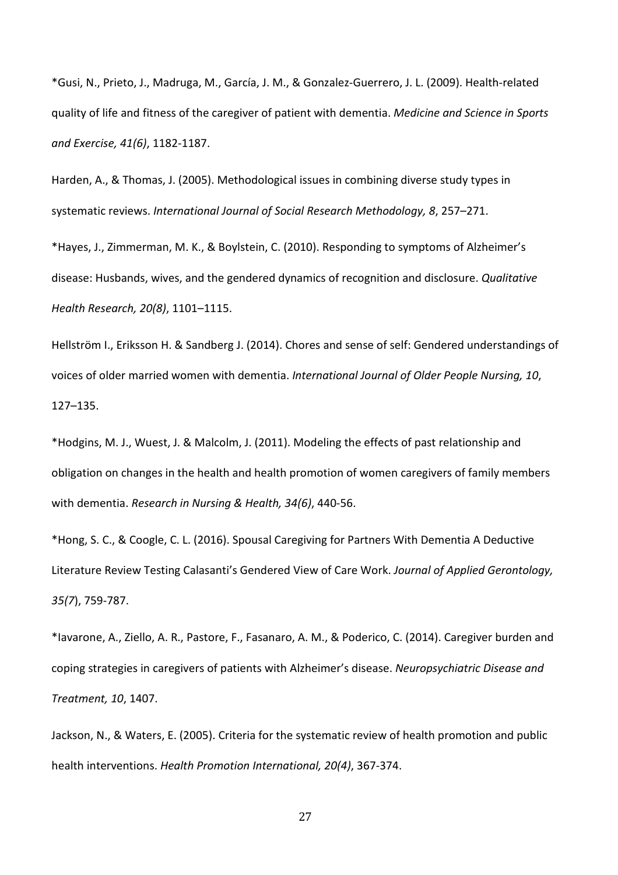\*Gusi, N., Prieto, J., Madruga, M., García, J. M., & Gonzalez-Guerrero, J. L. (2009). Health-related quality of life and fitness of the caregiver of patient with dementia. *Medicine and Science in Sports and Exercise, 41(6)*, 1182-1187.

Harden, A., & Thomas, J. (2005). Methodological issues in combining diverse study types in systematic reviews. *International Journal of Social Research Methodology, 8*, 257–271.

\*Hayes, J., Zimmerman, M. K., & Boylstein, C. (2010). Responding to symptoms of Alzheimer's disease: Husbands, wives, and the gendered dynamics of recognition and disclosure. *Qualitative Health Research, 20(8)*, 1101–1115.

Hellström I., Eriksson H. & Sandberg J. (2014). Chores and sense of self: Gendered understandings of voices of older married women with dementia. *International Journal of Older People Nursing, 10*, 127–135.

\*Hodgins, M. J., Wuest, J. & Malcolm, J. (2011). Modeling the effects of past relationship and obligation on changes in the health and health promotion of women caregivers of family members with dementia. *Research in Nursing & Health, 34(6)*, 440-56.

\*Hong, S. C., & Coogle, C. L. (2016). Spousal Caregiving for Partners With Dementia A Deductive Literature Review Testing Calasanti's Gendered View of Care Work. *Journal of Applied Gerontology, 35(7*), 759-787.

\*Iavarone, A., Ziello, A. R., Pastore, F., Fasanaro, A. M., & Poderico, C. (2014). Caregiver burden and coping strategies in caregivers of patients with Alzheimer's disease. *Neuropsychiatric Disease and Treatment, 10*, 1407.

Jackson, N., & Waters, E. (2005). Criteria for the systematic review of health promotion and public health interventions. *Health Promotion International, 20(4)*, 367-374.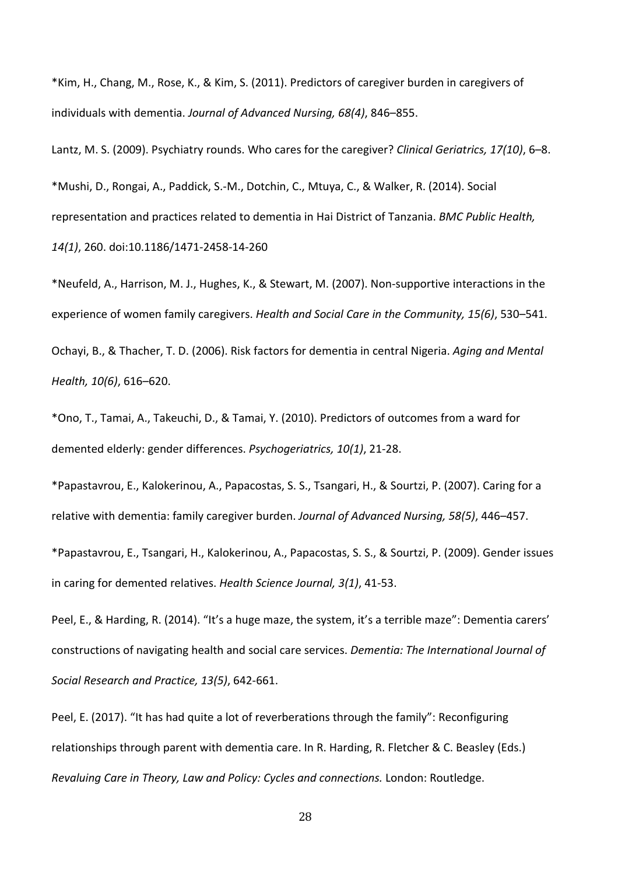\*Kim, H., Chang, M., Rose, K., & Kim, S. (2011). Predictors of caregiver burden in caregivers of individuals with dementia. *Journal of Advanced Nursing, 68(4)*, 846–855.

Lantz, M. S. (2009). Psychiatry rounds. Who cares for the caregiver? *Clinical Geriatrics, 17(10)*, 6–8. \*Mushi, D., Rongai, A., Paddick, S.-M., Dotchin, C., Mtuya, C., & Walker, R. (2014). Social representation and practices related to dementia in Hai District of Tanzania. *BMC Public Health, 14(1)*, 260. doi:10.1186/1471-2458-14-260

\*Neufeld, A., Harrison, M. J., Hughes, K., & Stewart, M. (2007). Non-supportive interactions in the experience of women family caregivers. *Health and Social Care in the Community, 15(6)*, 530–541. Ochayi, B., & Thacher, T. D. (2006). Risk factors for dementia in central Nigeria. *Aging and Mental Health, 10(6)*, 616–620.

\*Ono, T., Tamai, A., Takeuchi, D., & Tamai, Y. (2010). Predictors of outcomes from a ward for demented elderly: gender differences. *Psychogeriatrics, 10(1)*, 21-28.

\*Papastavrou, E., Kalokerinou, A., Papacostas, S. S., Tsangari, H., & Sourtzi, P. (2007). Caring for a relative with dementia: family caregiver burden. *Journal of Advanced Nursing, 58(5)*, 446–457.

\*Papastavrou, E., Tsangari, H., Kalokerinou, A., Papacostas, S. S., & Sourtzi, P. (2009). Gender issues in caring for demented relatives. *Health Science Journal, 3(1)*, 41-53.

Peel, E., & Harding, R. (2014). "It's a huge maze, the system, it's a terrible maze": Dementia carers' constructions of navigating health and social care services. *Dementia: The International Journal of Social Research and Practice, 13(5)*, 642-661.

Peel, E. (2017). "It has had quite a lot of reverberations through the family": Reconfiguring relationships through parent with dementia care. In R. Harding, R. Fletcher & C. Beasley (Eds.) *Revaluing Care in Theory, Law and Policy: Cycles and connections.* London: Routledge.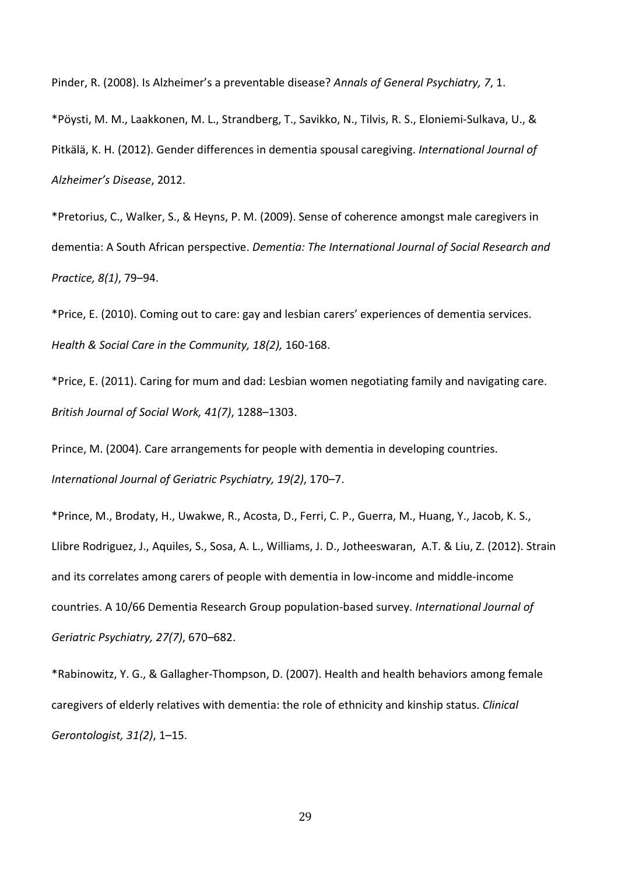Pinder, R. (2008). Is Alzheimer's a preventable disease? *Annals of General Psychiatry, 7*, 1.

\*Pöysti, M. M., Laakkonen, M. L., Strandberg, T., Savikko, N., Tilvis, R. S., Eloniemi-Sulkava, U., & Pitkälä, K. H. (2012). Gender differences in dementia spousal caregiving. *International Journal of Alzheimer's Disease*, 2012.

\*Pretorius, C., Walker, S., & Heyns, P. M. (2009). Sense of coherence amongst male caregivers in dementia: A South African perspective. *Dementia: The International Journal of Social Research and Practice, 8(1)*, 79–94.

\*Price, E. (2010). Coming out to care: gay and lesbian carers' experiences of dementia services. *Health & Social Care in the Community, 18(2),* 160-168.

\*Price, E. (2011). Caring for mum and dad: Lesbian women negotiating family and navigating care. *British Journal of Social Work, 41(7)*, 1288–1303.

Prince, M. (2004). Care arrangements for people with dementia in developing countries. *International Journal of Geriatric Psychiatry, 19(2)*, 170–7.

\*Prince, M., Brodaty, H., Uwakwe, R., Acosta, D., Ferri, C. P., Guerra, M., Huang, Y., Jacob, K. S., Llibre Rodriguez, J., Aquiles, S., Sosa, A. L., Williams, J. D., Jotheeswaran, A.T. & Liu, Z. (2012). Strain and its correlates among carers of people with dementia in low-income and middle-income countries. A 10/66 Dementia Research Group population-based survey. *International Journal of Geriatric Psychiatry, 27(7)*, 670–682.

\*Rabinowitz, Y. G., & Gallagher-Thompson, D. (2007). Health and health behaviors among female caregivers of elderly relatives with dementia: the role of ethnicity and kinship status. *Clinical Gerontologist, 31(2)*, 1–15.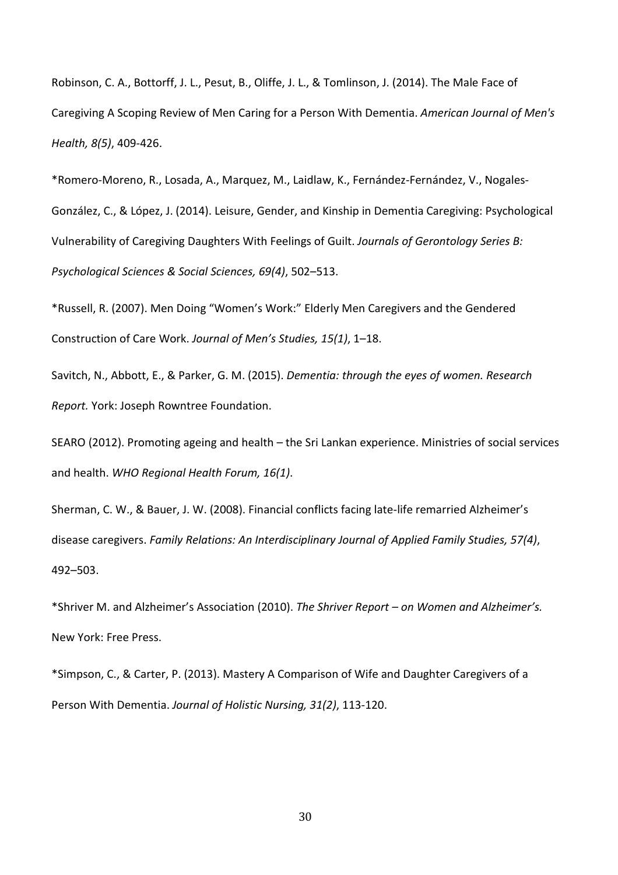Robinson, C. A., Bottorff, J. L., Pesut, B., Oliffe, J. L., & Tomlinson, J. (2014). The Male Face of Caregiving A Scoping Review of Men Caring for a Person With Dementia. *American Journal of Men's Health, 8(5)*, 409-426.

\*Romero-Moreno, R., Losada, A., Marquez, M., Laidlaw, K., Fernández-Fernández, V., Nogales-González, C., & López, J. (2014). Leisure, Gender, and Kinship in Dementia Caregiving: Psychological Vulnerability of Caregiving Daughters With Feelings of Guilt. *Journals of Gerontology Series B: Psychological Sciences & Social Sciences, 69(4)*, 502–513.

\*Russell, R. (2007). Men Doing "Women's Work:" Elderly Men Caregivers and the Gendered Construction of Care Work. *Journal of Men's Studies, 15(1)*, 1–18.

Savitch, N., Abbott, E., & Parker, G. M. (2015). *Dementia: through the eyes of women. Research Report.* York: Joseph Rowntree Foundation.

SEARO (2012). Promoting ageing and health – the Sri Lankan experience. Ministries of social services and health. *WHO Regional Health Forum, 16(1)*.

Sherman, C. W., & Bauer, J. W. (2008). Financial conflicts facing late-life remarried Alzheimer's disease caregivers. *Family Relations: An Interdisciplinary Journal of Applied Family Studies, 57(4)*, 492–503.

\*Shriver M. and Alzheimer's Association (2010). *The Shriver Report – on Women and Alzheimer's.* New York: Free Press.

\*Simpson, C., & Carter, P. (2013). Mastery A Comparison of Wife and Daughter Caregivers of a Person With Dementia. *Journal of Holistic Nursing, 31(2)*, 113-120.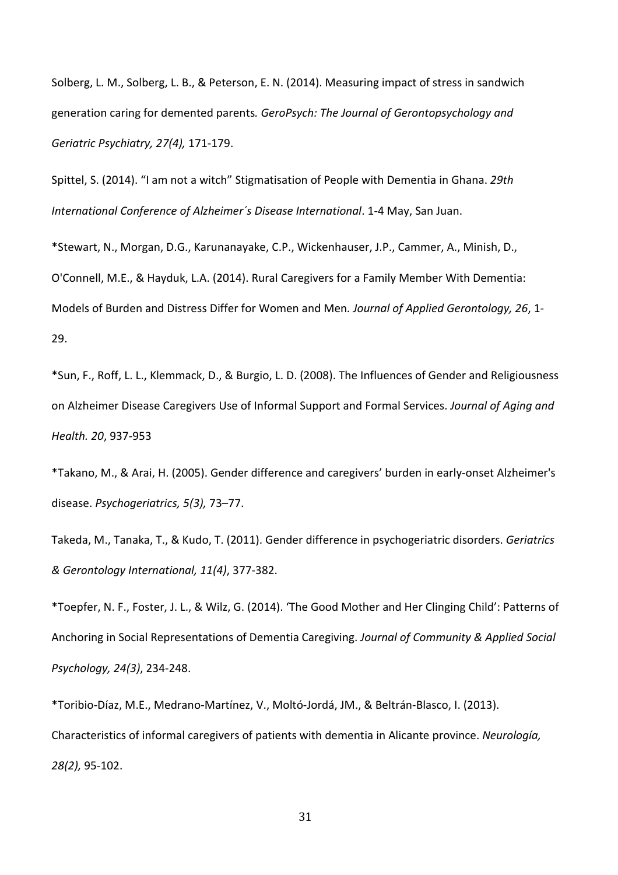Solberg, L. M., Solberg, L. B., & Peterson, E. N. (2014). Measuring impact of stress in sandwich generation caring for demented parents*. GeroPsych: The Journal of Gerontopsychology and Geriatric Psychiatry, 27(4),* 171-179.

Spittel, S. (2014). "I am not a witch" Stigmatisation of People with Dementia in Ghana. *29th International Conference of Alzheimer´s Disease International*. 1-4 May, San Juan.

\*Stewart, N., Morgan, D.G., Karunanayake, C.P., Wickenhauser, J.P., Cammer, A., Minish, D., O'Connell, M.E., & Hayduk, L.A. (2014). Rural Caregivers for a Family Member With Dementia: Models of Burden and Distress Differ for Women and Men*. Journal of Applied Gerontology, 26*, 1- 29.

\*Sun, F., Roff, L. L., Klemmack, D., & Burgio, L. D. (2008). The Influences of Gender and Religiousness on Alzheimer Disease Caregivers Use of Informal Support and Formal Services. *Journal of Aging and Health. 20*, 937-953

\*Takano, M., & Arai, H. (2005). Gender difference and caregivers' burden in early-onset Alzheimer's disease. *Psychogeriatrics, 5(3),* 73–77.

Takeda, M., Tanaka, T., & Kudo, T. (2011). Gender difference in psychogeriatric disorders. *Geriatrics & Gerontology International, 11(4)*, 377-382.

\*Toepfer, N. F., Foster, J. L., & Wilz, G. (2014). 'The Good Mother and Her Clinging Child': Patterns of Anchoring in Social Representations of Dementia Caregiving. *Journal of Community & Applied Social Psychology, 24(3)*, 234-248.

\*Toribio-Díaz, M.E., Medrano-Martínez, V., Moltó-Jordá, JM., & Beltrán-Blasco, I. (2013). Characteristics of informal caregivers of patients with dementia in Alicante province. *Neurología, 28(2),* 95-102.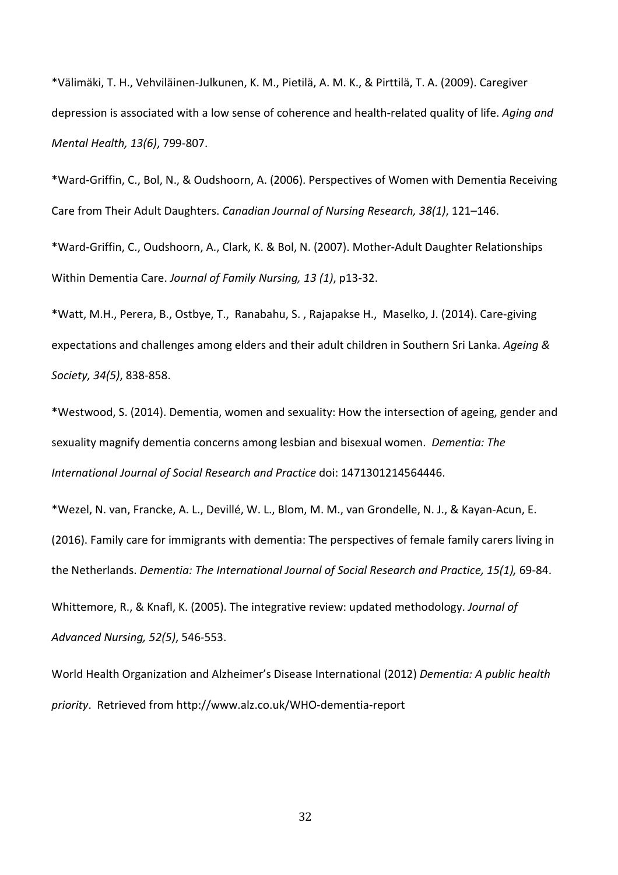\*Välimäki, T. H., Vehviläinen-Julkunen, K. M., Pietilä, A. M. K., & Pirttilä, T. A. (2009). Caregiver depression is associated with a low sense of coherence and health-related quality of life. *Aging and Mental Health, 13(6)*, 799-807.

\*Ward-Griffin, C., Bol, N., & Oudshoorn, A. (2006). Perspectives of Women with Dementia Receiving Care from Their Adult Daughters. *Canadian Journal of Nursing Research, 38(1)*, 121–146.

\*Ward-Griffin, C., Oudshoorn, A., Clark, K. & Bol, N. (2007). Mother-Adult Daughter Relationships Within Dementia Care. *Journal of Family Nursing, 13 (1)*, p13-32.

\*Watt, M.H., Perera, B., Ostbye, T., Ranabahu, S. , Rajapakse H., Maselko, J. (2014). Care-giving expectations and challenges among elders and their adult children in Southern Sri Lanka. *Ageing & Society, 34(5)*, 838-858.

\*Westwood, S. (2014). Dementia, women and sexuality: How the intersection of ageing, gender and sexuality magnify dementia concerns among lesbian and bisexual women. *Dementia: The International Journal of Social Research and Practice* doi: 1471301214564446.

\*Wezel, N. van, Francke, A. L., Devillé, W. L., Blom, M. M., van Grondelle, N. J., & Kayan-Acun, E. (2016). Family care for immigrants with dementia: The perspectives of female family carers living in the Netherlands. *Dementia: The International Journal of Social Research and Practice, 15(1),* 69-84. Whittemore, R., & Knafl, K. (2005). The integrative review: updated methodology. *Journal of Advanced Nursing, 52(5)*, 546-553.

World Health Organization and Alzheimer's Disease International (2012) *Dementia: A public health priority*. Retrieved from http://www.alz.co.uk/WHO-dementia-report